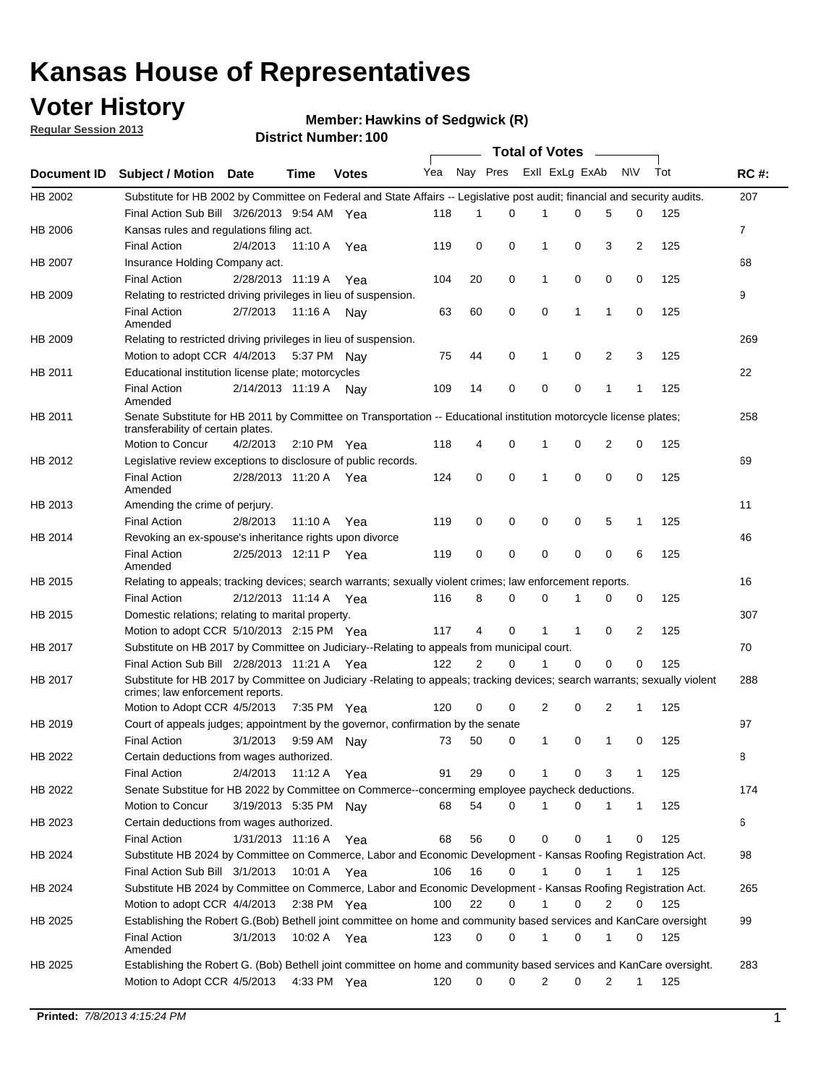## **Voter History**

**Member: Hawkins of Sedgwick (R)** 

**Regular Session 2013**

|             |                                                                                                                                                                |                       |             |              |     |          |          | <b>Total of Votes</b> |              |              |                |     |             |
|-------------|----------------------------------------------------------------------------------------------------------------------------------------------------------------|-----------------------|-------------|--------------|-----|----------|----------|-----------------------|--------------|--------------|----------------|-----|-------------|
| Document ID | <b>Subject / Motion Date</b>                                                                                                                                   |                       | Time        | <b>Votes</b> | Yea | Nay Pres |          | Exll ExLg ExAb        |              |              | <b>NV</b>      | Tot | <b>RC#:</b> |
| HB 2002     | Substitute for HB 2002 by Committee on Federal and State Affairs -- Legislative post audit; financial and security audits.                                     |                       |             |              |     |          |          |                       |              |              |                |     | 207         |
|             | Final Action Sub Bill 3/26/2013 9:54 AM Yea                                                                                                                    |                       |             |              | 118 | 1        | 0        | 1                     | 0            | 5            | 0              | 125 |             |
| HB 2006     | Kansas rules and regulations filing act.                                                                                                                       |                       |             |              |     |          |          |                       |              |              |                |     | 7           |
|             | <b>Final Action</b>                                                                                                                                            | 2/4/2013              | 11:10 A     | Yea          | 119 | 0        | 0        | 1                     | 0            | 3            | $\overline{2}$ | 125 |             |
| HB 2007     | Insurance Holding Company act.                                                                                                                                 |                       |             |              |     |          |          |                       |              |              |                |     | 68          |
|             | <b>Final Action</b>                                                                                                                                            | 2/28/2013 11:19 A     |             | Yea          | 104 | 20       | 0        | 1                     | 0            | 0            | 0              | 125 |             |
| HB 2009     | Relating to restricted driving privileges in lieu of suspension.                                                                                               |                       |             |              |     |          |          |                       |              |              |                |     | 9           |
|             | <b>Final Action</b><br>Amended                                                                                                                                 | 2/7/2013              | 11:16 A     | Nav          | 63  | 60       | 0        | 0                     | 1            | 1            | 0              | 125 |             |
| HB 2009     | Relating to restricted driving privileges in lieu of suspension.                                                                                               |                       |             |              |     |          |          |                       |              |              |                |     | 269         |
|             | Motion to adopt CCR 4/4/2013                                                                                                                                   |                       |             | 5:37 PM Nav  | 75  | 44       | 0        | 1                     | 0            | 2            | 3              | 125 |             |
| HB 2011     | Educational institution license plate; motorcycles                                                                                                             |                       |             |              |     |          |          |                       |              |              |                |     | 22          |
|             | <b>Final Action</b><br>Amended                                                                                                                                 | 2/14/2013 11:19 A     |             | Nav          | 109 | 14       | 0        | 0                     | 0            | $\mathbf{1}$ | 1              | 125 |             |
| HB 2011     | Senate Substitute for HB 2011 by Committee on Transportation -- Educational institution motorcycle license plates;<br>transferability of certain plates.       |                       |             |              |     |          |          |                       |              |              |                |     | 258         |
|             | Motion to Concur                                                                                                                                               | 4/2/2013              |             | 2:10 PM Yea  | 118 | 4        | 0        | 1                     | 0            | 2            | 0              | 125 |             |
| HB 2012     | Legislative review exceptions to disclosure of public records.                                                                                                 |                       |             |              |     |          |          |                       |              |              |                |     | 69          |
|             | <b>Final Action</b><br>Amended                                                                                                                                 | 2/28/2013 11:20 A     |             | Yea          | 124 | 0        | 0        | 1                     | 0            | $\mathbf 0$  | 0              | 125 |             |
| HB 2013     | Amending the crime of perjury.                                                                                                                                 |                       |             |              |     |          |          |                       |              |              |                |     | 11          |
|             | <b>Final Action</b>                                                                                                                                            | 2/8/2013              | 11:10 A     | Yea          | 119 | 0        | 0        | 0                     | 0            | 5            | $\mathbf{1}$   | 125 |             |
| HB 2014     | Revoking an ex-spouse's inheritance rights upon divorce                                                                                                        |                       |             |              |     |          |          |                       |              |              |                |     | 46          |
|             | <b>Final Action</b><br>Amended                                                                                                                                 | 2/25/2013 12:11 P     |             | Yea          | 119 | 0        | 0        | 0                     | 0            | 0            | 6              | 125 |             |
| HB 2015     | Relating to appeals; tracking devices; search warrants; sexually violent crimes; law enforcement reports.                                                      |                       |             |              |     |          |          |                       |              |              |                |     | 16          |
|             | <b>Final Action</b>                                                                                                                                            | 2/12/2013 11:14 A Yea |             |              | 116 | 8        | 0        | 0                     | 1            | 0            | 0              | 125 |             |
| HB 2015     | Domestic relations; relating to marital property.                                                                                                              |                       |             |              |     |          |          |                       |              |              |                |     | 307         |
|             | Motion to adopt CCR 5/10/2013 2:15 PM Yea                                                                                                                      |                       |             |              | 117 | 4        | $\Omega$ | 1                     | $\mathbf{1}$ | 0            | 2              | 125 |             |
| HB 2017     | Substitute on HB 2017 by Committee on Judiciary--Relating to appeals from municipal court.                                                                     |                       |             |              |     |          |          |                       |              |              |                |     | 70          |
|             | Final Action Sub Bill 2/28/2013 11:21 A Yea                                                                                                                    |                       |             |              | 122 | 2        | 0        | 1                     | $\Omega$     | $\Omega$     | $\Omega$       | 125 |             |
| HB 2017     | Substitute for HB 2017 by Committee on Judiciary -Relating to appeals; tracking devices; search warrants; sexually violent<br>crimes; law enforcement reports. |                       |             |              |     |          |          |                       |              |              |                |     | 288         |
|             | Motion to Adopt CCR 4/5/2013                                                                                                                                   |                       |             | 7:35 PM Yea  | 120 | 0        | 0        | 2                     | 0            | 2            | $\mathbf{1}$   | 125 |             |
| HB 2019     | Court of appeals judges; appointment by the governor, confirmation by the senate                                                                               |                       |             |              |     |          |          |                       |              |              |                |     | 97          |
|             | <b>Final Action</b>                                                                                                                                            | 3/1/2013              | 9:59 AM     | Nav          | 73  | 50       | 0        | 1                     | 0            | 1            | 0              | 125 |             |
| HB 2022     | Certain deductions from wages authorized.                                                                                                                      |                       |             |              |     |          |          |                       |              |              |                |     | В           |
|             | <b>Final Action</b>                                                                                                                                            | 2/4/2013              |             | 11:12 A Yea  | 91  | 29       | 0        |                       | 0            | 3            | 1              | 125 |             |
| HB 2022     | Senate Substitue for HB 2022 by Committee on Commerce--concerming employee paycheck deductions.                                                                |                       |             |              |     |          |          |                       |              |              |                |     | 174         |
|             | Motion to Concur                                                                                                                                               | 3/19/2013 5:35 PM Nay |             |              | 68  | 54       | 0        | 1                     | 0            | 1            | $\mathbf{1}$   | 125 |             |
| HB 2023     | Certain deductions from wages authorized.                                                                                                                      |                       |             |              |     |          |          |                       |              |              |                |     | 6           |
|             | <b>Final Action</b>                                                                                                                                            | 1/31/2013 11:16 A Yea |             |              | 68  | 56       | 0        | 0                     | 0            | 1            | 0              | 125 |             |
| HB 2024     | Substitute HB 2024 by Committee on Commerce, Labor and Economic Development - Kansas Roofing Registration Act.                                                 |                       |             |              |     |          |          |                       |              |              |                |     | 98          |
|             | Final Action Sub Bill 3/1/2013                                                                                                                                 |                       | 10:01 A Yea |              | 106 | 16       | 0        |                       | 0            |              |                | 125 |             |
| HB 2024     | Substitute HB 2024 by Committee on Commerce, Labor and Economic Development - Kansas Roofing Registration Act.                                                 |                       |             |              |     |          |          |                       |              |              |                |     | 265         |
|             | Motion to adopt CCR 4/4/2013                                                                                                                                   |                       | 2:38 PM Yea |              | 100 | 22       | 0        |                       | 0            | 2            | 0              | 125 |             |
| HB 2025     | Establishing the Robert G.(Bob) Bethell joint committee on home and community based services and KanCare oversight                                             |                       |             |              |     |          |          |                       |              |              |                |     | 99          |
|             | Final Action<br>Amended                                                                                                                                        | 3/1/2013              |             | 10:02 A Yea  | 123 | 0        | 0        | 1                     | 0            | 1            | 0              | 125 |             |
| HB 2025     | Establishing the Robert G. (Bob) Bethell joint committee on home and community based services and KanCare oversight.                                           |                       |             |              |     |          |          |                       |              |              |                |     | 283         |
|             | Motion to Adopt CCR 4/5/2013                                                                                                                                   |                       |             | 4:33 PM Yea  | 120 | 0        | 0        | 2                     | 0            | 2            | $\mathbf{1}$   | 125 |             |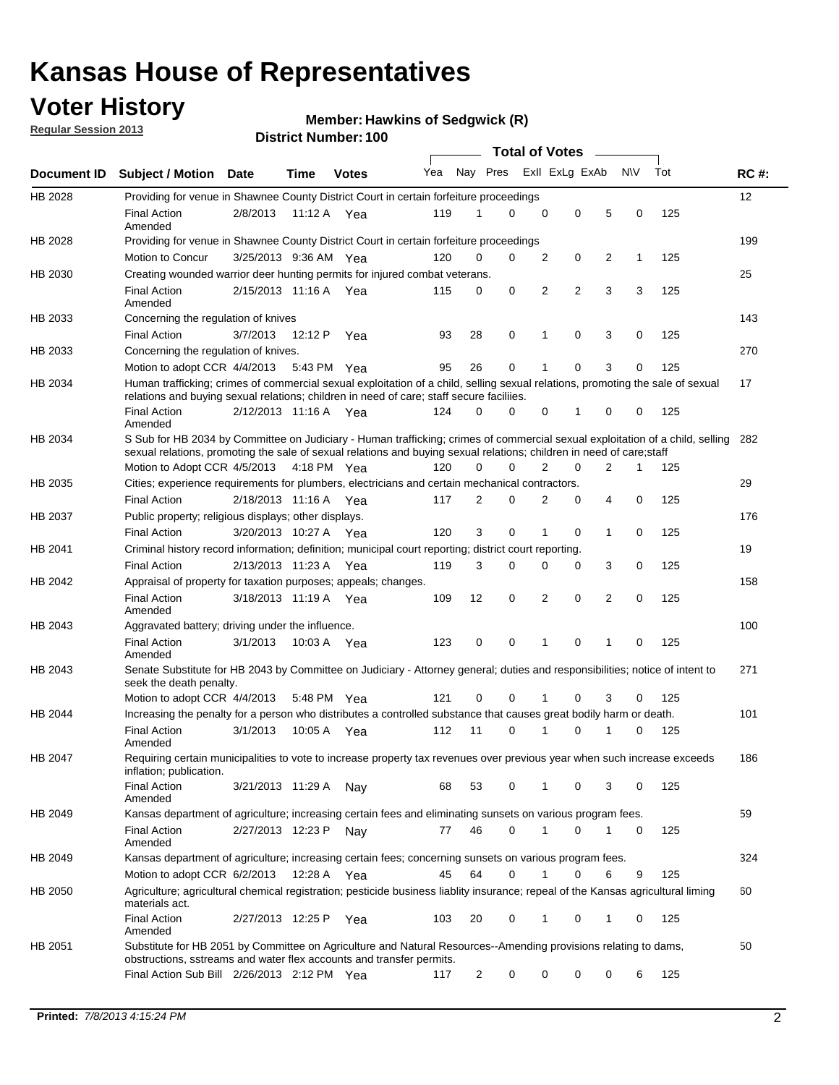## **Voter History**

**Regular Session 2013**

#### **Member: Hawkins of Sedgwick (R)**

|                    |                                                                                                                                                                                                                                                        |                       |             | וסטו וישנווואדו ויטוע |     |                | <b>Total of Votes</b> |                |                |   |              |     |             |
|--------------------|--------------------------------------------------------------------------------------------------------------------------------------------------------------------------------------------------------------------------------------------------------|-----------------------|-------------|-----------------------|-----|----------------|-----------------------|----------------|----------------|---|--------------|-----|-------------|
| <b>Document ID</b> | <b>Subject / Motion Date</b>                                                                                                                                                                                                                           |                       | Time        | <b>Votes</b>          | Yea | Nay Pres       |                       |                | Exll ExLg ExAb |   | <b>NV</b>    | Tot | <b>RC#:</b> |
| HB 2028            | Providing for venue in Shawnee County District Court in certain forfeiture proceedings                                                                                                                                                                 |                       |             |                       |     |                |                       |                |                |   |              |     | 12          |
|                    | <b>Final Action</b><br>Amended                                                                                                                                                                                                                         | 2/8/2013              | 11:12 A Yea |                       | 119 | 1              | 0                     | $\mathbf 0$    | $\mathbf 0$    | 5 | 0            | 125 |             |
| HB 2028            | Providing for venue in Shawnee County District Court in certain forfeiture proceedings                                                                                                                                                                 |                       |             |                       |     |                |                       |                |                |   |              |     | 199         |
|                    | Motion to Concur                                                                                                                                                                                                                                       | 3/25/2013 9:36 AM Yea |             |                       | 120 | 0              | 0                     | 2              | 0              | 2 | $\mathbf{1}$ | 125 |             |
| HB 2030            | Creating wounded warrior deer hunting permits for injured combat veterans.                                                                                                                                                                             |                       |             |                       |     |                |                       |                |                |   |              |     | 25          |
|                    | <b>Final Action</b><br>Amended                                                                                                                                                                                                                         | 2/15/2013 11:16 A     |             | Yea                   | 115 | 0              | 0                     | 2              | $\overline{2}$ | 3 | 3            | 125 |             |
| HB 2033            | Concerning the regulation of knives                                                                                                                                                                                                                    |                       |             |                       |     |                |                       |                |                |   |              |     | 143         |
|                    | <b>Final Action</b>                                                                                                                                                                                                                                    | 3/7/2013              | 12:12 P     | Yea                   | 93  | 28             | 0                     | 1              | $\mathbf 0$    | 3 | 0            | 125 |             |
| HB 2033            | Concerning the regulation of knives.                                                                                                                                                                                                                   |                       |             |                       |     |                |                       |                |                |   |              |     | 270         |
|                    | Motion to adopt CCR 4/4/2013 5:43 PM Yea                                                                                                                                                                                                               |                       |             |                       | 95  | 26             | 0                     | 1              | 0              | 3 | 0            | 125 |             |
| HB 2034            | Human trafficking; crimes of commercial sexual exploitation of a child, selling sexual relations, promoting the sale of sexual<br>relations and buying sexual relations; children in need of care; staff secure faciliies.                             |                       |             |                       |     |                |                       |                |                |   |              |     | 17          |
|                    | <b>Final Action</b><br>Amended                                                                                                                                                                                                                         | 2/12/2013 11:16 A Yea |             |                       | 124 | 0              | 0                     | 0              | 1              | 0 | 0            | 125 |             |
| HB 2034            | S Sub for HB 2034 by Committee on Judiciary - Human trafficking; crimes of commercial sexual exploitation of a child, selling<br>sexual relations, promoting the sale of sexual relations and buying sexual relations; children in need of care; staff |                       |             |                       |     |                |                       |                |                |   |              |     | 282         |
|                    | Motion to Adopt CCR 4/5/2013 4:18 PM Yea                                                                                                                                                                                                               |                       |             |                       | 120 | 0              | 0                     | $\overline{2}$ | 0              | 2 | 1            | 125 |             |
| HB 2035            | Cities; experience requirements for plumbers, electricians and certain mechanical contractors.                                                                                                                                                         |                       |             |                       |     |                |                       |                |                |   |              |     | 29          |
|                    | <b>Final Action</b>                                                                                                                                                                                                                                    | 2/18/2013 11:16 A     |             | Yea                   | 117 | 2              | 0                     | 2              | 0              | 4 | 0            | 125 |             |
| HB 2037            | Public property; religious displays; other displays.                                                                                                                                                                                                   |                       |             |                       |     |                |                       |                |                |   |              |     | 176         |
|                    | <b>Final Action</b>                                                                                                                                                                                                                                    | 3/20/2013 10:27 A     |             | Yea                   | 120 | 3              | 0                     | 1              | 0              | 1 | 0            | 125 |             |
| HB 2041            | Criminal history record information; definition; municipal court reporting; district court reporting.                                                                                                                                                  |                       |             |                       |     |                |                       |                |                |   |              |     | 19          |
|                    | <b>Final Action</b>                                                                                                                                                                                                                                    | 2/13/2013 11:23 A     |             | Yea                   | 119 | 3              | 0                     | 0              | 0              | 3 | 0            | 125 |             |
| HB 2042            | Appraisal of property for taxation purposes; appeals; changes.                                                                                                                                                                                         |                       |             |                       |     |                |                       |                |                |   |              |     | 158         |
|                    | <b>Final Action</b><br>Amended                                                                                                                                                                                                                         | 3/18/2013 11:19 A     |             | Yea                   | 109 | 12             | 0                     | 2              | 0              | 2 | 0            | 125 |             |
| HB 2043            | Aggravated battery; driving under the influence.                                                                                                                                                                                                       |                       |             |                       |     |                |                       |                |                |   |              |     | 100         |
|                    | <b>Final Action</b><br>Amended                                                                                                                                                                                                                         | 3/1/2013              | 10:03 A Yea |                       | 123 | 0              | 0                     | 1              | 0              | 1 | 0            | 125 |             |
| HB 2043            | Senate Substitute for HB 2043 by Committee on Judiciary - Attorney general; duties and responsibilities; notice of intent to<br>seek the death penalty.                                                                                                |                       |             |                       |     |                |                       |                |                |   |              |     | 271         |
|                    | Motion to adopt CCR 4/4/2013                                                                                                                                                                                                                           |                       | 5:48 PM     | Yea                   | 121 | 0              | 0                     |                | 0              | 3 | 0            | 125 |             |
| HB 2044            | Increasing the penalty for a person who distributes a controlled substance that causes great bodily harm or death.                                                                                                                                     |                       |             |                       |     |                |                       |                |                |   |              |     | 101         |
|                    | <b>Final Action</b><br>Amended                                                                                                                                                                                                                         | 3/1/2013              | 10:05 A     | Yea                   | 112 | 11             | $\Omega$              |                | $\Omega$       |   | 0            | 125 |             |
| HB 2047            | Requiring certain municipalities to vote to increase property tax revenues over previous year when such increase exceeds<br>inflation; publication.                                                                                                    |                       |             |                       |     |                |                       |                |                |   |              |     | 186         |
|                    | Final Action<br>Amended                                                                                                                                                                                                                                | 3/21/2013 11:29 A     |             | Nay                   | 68  | 53             | 0                     | 1              | 0              | 3 | 0            | 125 |             |
| HB 2049            | Kansas department of agriculture; increasing certain fees and eliminating sunsets on various program fees.                                                                                                                                             |                       |             |                       |     |                |                       |                |                |   |              |     | 59          |
|                    | <b>Final Action</b><br>Amended                                                                                                                                                                                                                         | 2/27/2013 12:23 P     |             | Nay                   | 77  | 46             | 0                     | 1              | 0              | 1 | 0            | 125 |             |
| HB 2049            | Kansas department of agriculture; increasing certain fees; concerning sunsets on various program fees.                                                                                                                                                 |                       |             |                       |     |                |                       |                |                |   |              |     | 324         |
|                    | Motion to adopt CCR 6/2/2013                                                                                                                                                                                                                           |                       | 12:28 A     | Yea                   | 45  | 64             | 0                     | 1              | 0              | 6 | 9            | 125 |             |
| HB 2050            | Agriculture; agricultural chemical registration; pesticide business liablity insurance; repeal of the Kansas agricultural liming<br>materials act.                                                                                                     |                       |             |                       |     |                |                       |                |                |   |              |     | 60          |
|                    | <b>Final Action</b><br>Amended                                                                                                                                                                                                                         | 2/27/2013 12:25 P     |             | Yea                   | 103 | 20             | 0                     | 1              | 0              | 1 | 0            | 125 |             |
| HB 2051            | Substitute for HB 2051 by Committee on Agriculture and Natural Resources--Amending provisions relating to dams,<br>obstructions, sstreams and water flex accounts and transfer permits.                                                                |                       |             |                       |     |                |                       |                |                |   |              |     | 50          |
|                    | Final Action Sub Bill 2/26/2013 2:12 PM Yea                                                                                                                                                                                                            |                       |             |                       | 117 | $\overline{c}$ | 0                     | 0              | 0              | 0 | 6            | 125 |             |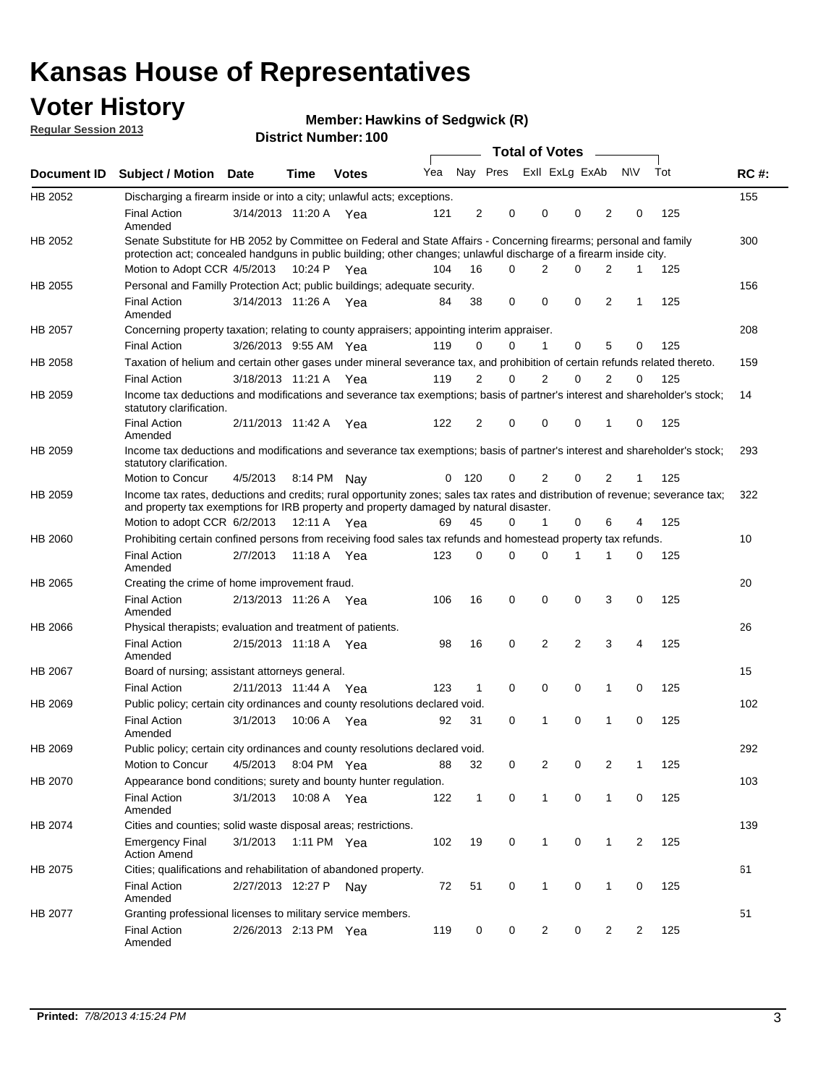## **Voter History**

**Member: Hawkins of Sedgwick (R)** 

**Regular Session 2013**

|             |                                                                                                                                                                                                                                          |                       |         |              |     |              |                         | <b>Total of Votes</b> |                |                | $\frac{1}{2}$  |                |     |             |
|-------------|------------------------------------------------------------------------------------------------------------------------------------------------------------------------------------------------------------------------------------------|-----------------------|---------|--------------|-----|--------------|-------------------------|-----------------------|----------------|----------------|----------------|----------------|-----|-------------|
| Document ID | <b>Subject / Motion Date</b>                                                                                                                                                                                                             |                       | Time    | <b>Votes</b> | Yea |              | Nay Pres Exll ExLg ExAb |                       |                |                |                | <b>NV</b>      | Tot | <b>RC#:</b> |
| HB 2052     | Discharging a firearm inside or into a city; unlawful acts; exceptions.                                                                                                                                                                  |                       |         |              |     |              |                         |                       |                |                |                |                |     | 155         |
|             | <b>Final Action</b><br>Amended                                                                                                                                                                                                           | 3/14/2013 11:20 A Yea |         |              | 121 | 2            | 0                       |                       | 0              | 0              | 2              | 0              | 125 |             |
| HB 2052     | Senate Substitute for HB 2052 by Committee on Federal and State Affairs - Concerning firearms; personal and family<br>protection act; concealed handguns in public building; other changes; unlawful discharge of a firearm inside city. |                       |         |              |     |              |                         |                       |                |                |                |                |     | 300         |
|             | Motion to Adopt CCR 4/5/2013 10:24 P Yea                                                                                                                                                                                                 |                       |         |              | 104 | 16           | $\Omega$                |                       | 2              | 0              | $\overline{2}$ | $\mathbf 1$    | 125 |             |
| HB 2055     | Personal and Familly Protection Act; public buildings; adequate security.                                                                                                                                                                |                       |         |              |     |              |                         |                       |                |                |                |                |     | 156         |
|             | <b>Final Action</b><br>Amended                                                                                                                                                                                                           | 3/14/2013 11:26 A Yea |         |              | 84  | 38           | 0                       |                       | $\mathbf 0$    | 0              | 2              | $\mathbf 1$    | 125 |             |
| HB 2057     | Concerning property taxation; relating to county appraisers; appointing interim appraiser.                                                                                                                                               |                       |         |              |     |              |                         |                       |                |                |                |                |     | 208         |
|             | <b>Final Action</b>                                                                                                                                                                                                                      | 3/26/2013 9:55 AM Yea |         |              | 119 | 0            | 0                       |                       | $\mathbf{1}$   | 0              | 5              | 0              | 125 |             |
| HB 2058     | Taxation of helium and certain other gases under mineral severance tax, and prohibition of certain refunds related thereto.                                                                                                              |                       |         |              |     |              |                         |                       |                |                |                |                |     | 159         |
|             | <b>Final Action</b>                                                                                                                                                                                                                      | 3/18/2013 11:21 A Yea |         |              | 119 | 2            | 0                       |                       | 2              | $\Omega$       | $\overline{2}$ | $\Omega$       | 125 |             |
| HB 2059     | Income tax deductions and modifications and severance tax exemptions; basis of partner's interest and shareholder's stock;<br>statutory clarification.                                                                                   |                       |         |              |     |              |                         |                       |                |                |                |                |     | 14          |
|             | <b>Final Action</b><br>Amended                                                                                                                                                                                                           | 2/11/2013 11:42 A     |         | Yea          | 122 | 2            | 0                       |                       | 0              | 0              | 1              | 0              | 125 |             |
| HB 2059     | Income tax deductions and modifications and severance tax exemptions; basis of partner's interest and shareholder's stock;<br>statutory clarification.                                                                                   |                       |         |              |     |              |                         |                       |                |                |                |                |     | 293         |
|             | Motion to Concur                                                                                                                                                                                                                         | 4/5/2013              | 8:14 PM | Nav          | 0   | 120          | 0                       |                       | 2              | 0              | $\overline{2}$ | 1              | 125 |             |
| HB 2059     | Income tax rates, deductions and credits; rural opportunity zones; sales tax rates and distribution of revenue; severance tax;<br>and property tax exemptions for IRB property and property damaged by natural disaster.                 |                       |         |              |     |              |                         |                       |                |                |                |                |     | 322         |
|             | Motion to adopt CCR 6/2/2013                                                                                                                                                                                                             |                       | 12:11 A | Yea          | 69  | 45           | 0                       |                       | 1              | 0              | 6              | 4              | 125 |             |
| HB 2060     | Prohibiting certain confined persons from receiving food sales tax refunds and homestead property tax refunds.                                                                                                                           |                       |         |              |     |              |                         |                       |                |                |                |                |     | 10          |
|             | <b>Final Action</b><br>Amended                                                                                                                                                                                                           | 2/7/2013              | 11:18 A | Yea          | 123 | 0            | 0                       |                       | $\Omega$       | 1              | 1              | 0              | 125 |             |
| HB 2065     | Creating the crime of home improvement fraud.                                                                                                                                                                                            |                       |         |              |     |              |                         |                       |                |                |                |                |     | 20          |
|             | <b>Final Action</b><br>Amended                                                                                                                                                                                                           | 2/13/2013 11:26 A Yea |         |              | 106 | 16           | $\mathbf 0$             |                       | 0              | 0              | 3              | 0              | 125 |             |
| HB 2066     | Physical therapists; evaluation and treatment of patients.                                                                                                                                                                               |                       |         |              |     |              |                         |                       |                |                |                |                |     | 26          |
|             | <b>Final Action</b><br>Amended                                                                                                                                                                                                           | 2/15/2013 11:18 A Yea |         |              | 98  | 16           | 0                       |                       | 2              | $\overline{2}$ | 3              | 4              | 125 |             |
| HB 2067     | Board of nursing; assistant attorneys general.                                                                                                                                                                                           |                       |         |              |     |              |                         |                       |                |                |                |                |     | 15          |
|             | <b>Final Action</b>                                                                                                                                                                                                                      | 2/11/2013 11:44 A     |         | Yea          | 123 | 1            | $\mathbf 0$             |                       | $\mathbf 0$    | 0              | 1              | 0              | 125 |             |
| HB 2069     | Public policy; certain city ordinances and county resolutions declared void.                                                                                                                                                             |                       |         |              |     |              |                         |                       |                |                |                |                |     | 102         |
|             | <b>Final Action</b><br>Amended                                                                                                                                                                                                           | 3/1/2013              | 10:06 A | Yea          | 92  | 31           | $\mathbf 0$             |                       | 1              | 0              | 1              | $\mathbf 0$    | 125 |             |
| HB 2069     | Public policy; certain city ordinances and county resolutions declared void.                                                                                                                                                             |                       |         |              |     |              |                         |                       |                |                |                |                |     | 292         |
|             | Motion to Concur                                                                                                                                                                                                                         | 4/5/2013              |         | 8:04 PM Yea  | 88  | 32           | 0                       |                       | $\overline{2}$ | 0              | $\overline{2}$ | 1              | 125 |             |
| HB 2070     | Appearance bond conditions; surety and bounty hunter regulation.                                                                                                                                                                         |                       |         |              |     |              |                         |                       |                |                |                |                |     | 103         |
|             | <b>Final Action</b><br>Amended                                                                                                                                                                                                           | 3/1/2013              |         | 10:08 A Yea  | 122 | $\mathbf{1}$ | $\mathbf 0$             |                       | $\mathbf{1}$   | 0              | $\mathbf{1}$   | 0              | 125 |             |
| HB 2074     | Cities and counties; solid waste disposal areas; restrictions.                                                                                                                                                                           |                       |         |              |     |              |                         |                       |                |                |                |                |     | 139         |
|             | <b>Emergency Final</b><br><b>Action Amend</b>                                                                                                                                                                                            | 3/1/2013              |         | 1:11 PM Yea  | 102 | 19           | 0                       |                       | $\mathbf{1}$   | 0              | 1              | $\overline{2}$ | 125 |             |
| HB 2075     | Cities; qualifications and rehabilitation of abandoned property.                                                                                                                                                                         |                       |         |              |     |              |                         |                       |                |                |                |                |     | 61          |
|             | <b>Final Action</b><br>Amended                                                                                                                                                                                                           | 2/27/2013 12:27 P     |         | Nay          | 72  | 51           | 0                       |                       | 1              | 0              | 1              | 0              | 125 |             |
| HB 2077     | Granting professional licenses to military service members.<br><b>Final Action</b><br>Amended                                                                                                                                            | 2/26/2013 2:13 PM Yea |         |              | 119 | 0            | 0                       |                       | $\overline{2}$ | 0              | $\overline{2}$ | 2              | 125 | 51          |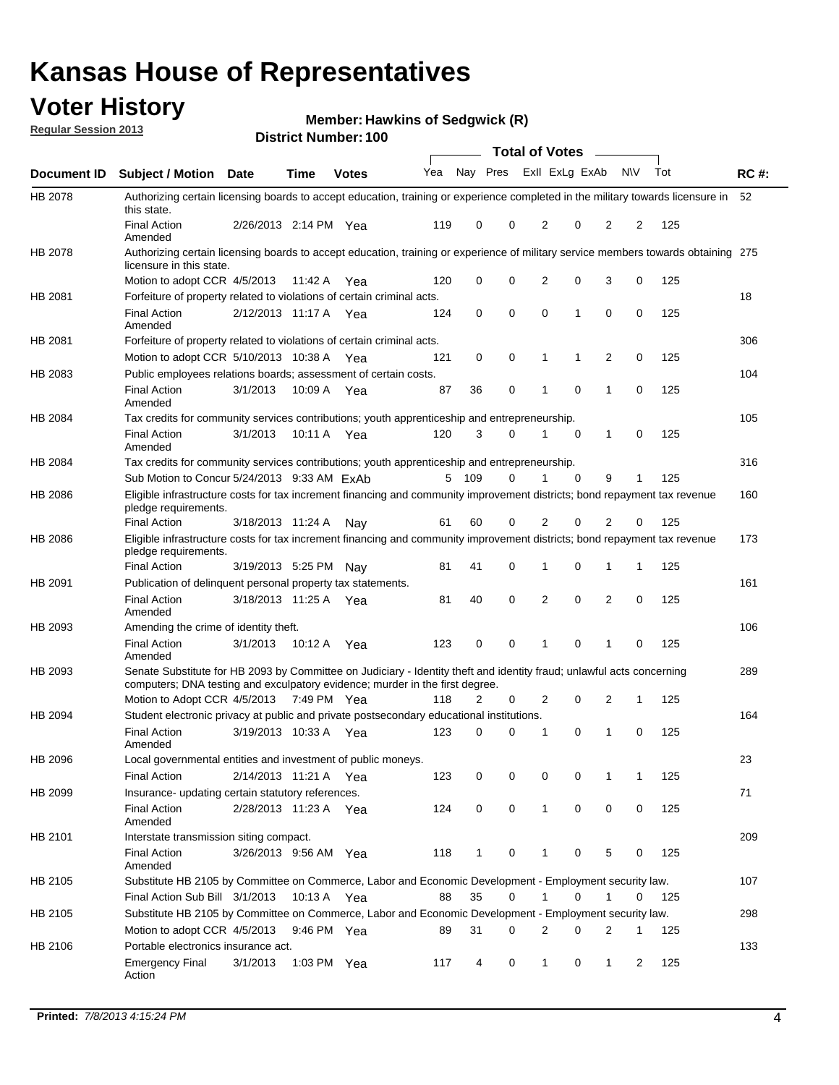## **Voter History**

**Member: Hawkins of Sedgwick (R)** 

**Regular Session 2013**

|                    |                                                                                                                                                                                                       |                       |               |              |              |              |   | <b>Total of Votes</b> |             | $\overline{\phantom{a}}$ |             |     |             |
|--------------------|-------------------------------------------------------------------------------------------------------------------------------------------------------------------------------------------------------|-----------------------|---------------|--------------|--------------|--------------|---|-----------------------|-------------|--------------------------|-------------|-----|-------------|
| <b>Document ID</b> | <b>Subject / Motion Date</b>                                                                                                                                                                          |                       | <b>Time</b>   | <b>Votes</b> | Yea Nay Pres |              |   | Exll ExLg ExAb        |             |                          | <b>NV</b>   | Tot | <b>RC#:</b> |
| HB 2078            | Authorizing certain licensing boards to accept education, training or experience completed in the military towards licensure in<br>this state.                                                        |                       |               |              |              |              |   |                       |             |                          |             |     | 52          |
|                    | <b>Final Action</b><br>Amended                                                                                                                                                                        | 2/26/2013 2:14 PM Yea |               |              | 119          | 0            | 0 | 2                     | 0           | 2                        | 2           | 125 |             |
| HB 2078            | Authorizing certain licensing boards to accept education, training or experience of military service members towards obtaining 275<br>licensure in this state.                                        |                       |               |              |              |              |   |                       |             |                          |             |     |             |
|                    | Motion to adopt CCR 4/5/2013                                                                                                                                                                          |                       | 11:42 A       | Yea          | 120          | 0            | 0 | $\overline{2}$        | 0           | 3                        | 0           | 125 |             |
| HB 2081            | Forfeiture of property related to violations of certain criminal acts.                                                                                                                                |                       |               |              |              |              |   |                       |             |                          |             |     | 18          |
|                    | <b>Final Action</b><br>Amended                                                                                                                                                                        | 2/12/2013 11:17 A Yea |               |              | 124          | 0            | 0 | $\Omega$              | 1           | 0                        | 0           | 125 |             |
| HB 2081            | Forfeiture of property related to violations of certain criminal acts.                                                                                                                                |                       |               |              |              |              |   |                       |             |                          |             |     | 306         |
|                    | Motion to adopt CCR 5/10/2013 10:38 A                                                                                                                                                                 |                       |               | Yea          | 121          | 0            | 0 | 1                     | 1           | 2                        | 0           | 125 |             |
| HB 2083            | Public employees relations boards; assessment of certain costs.                                                                                                                                       |                       |               |              |              |              |   |                       |             |                          |             |     | 104         |
|                    | <b>Final Action</b><br>Amended                                                                                                                                                                        | 3/1/2013              | 10:09 A       | Yea          | 87           | 36           | 0 | 1                     | $\mathbf 0$ | 1                        | $\mathbf 0$ | 125 |             |
| HB 2084            | Tax credits for community services contributions; youth apprenticeship and entrepreneurship.                                                                                                          |                       |               |              |              |              |   |                       |             |                          |             |     | 105         |
|                    | <b>Final Action</b><br>Amended                                                                                                                                                                        | 3/1/2013              | 10:11 A       | Yea          | 120          | 3            | 0 | 1                     | $\mathbf 0$ | 1                        | 0           | 125 |             |
| HB 2084            | Tax credits for community services contributions; youth apprenticeship and entrepreneurship.                                                                                                          |                       |               |              |              |              |   |                       |             |                          |             |     | 316         |
|                    | Sub Motion to Concur 5/24/2013 9:33 AM ExAb                                                                                                                                                           |                       |               |              | 5            | 109          | 0 |                       | $\Omega$    | 9                        | 1           | 125 |             |
| HB 2086            | Eligible infrastructure costs for tax increment financing and community improvement districts; bond repayment tax revenue<br>pledge requirements.                                                     |                       |               |              |              |              |   |                       |             |                          |             |     | 160         |
|                    | <b>Final Action</b>                                                                                                                                                                                   | 3/18/2013 11:24 A     |               | Nav          | 61           | 60           | 0 | 2                     | 0           | $\overline{2}$           | 0           | 125 |             |
| HB 2086            | Eligible infrastructure costs for tax increment financing and community improvement districts; bond repayment tax revenue<br>pledge requirements.                                                     |                       |               |              |              |              |   |                       |             |                          |             |     | 173         |
|                    | <b>Final Action</b>                                                                                                                                                                                   | 3/19/2013 5:25 PM     |               | Nav          | 81           | 41           | 0 | 1                     | 0           | 1                        | 1           | 125 |             |
| HB 2091            | Publication of delinguent personal property tax statements.                                                                                                                                           |                       |               |              |              |              |   |                       |             |                          |             |     | 161         |
|                    | <b>Final Action</b><br>Amended                                                                                                                                                                        | 3/18/2013 11:25 A     |               | Yea          | 81           | 40           | 0 | 2                     | 0           | $\overline{2}$           | 0           | 125 |             |
| HB 2093            | Amending the crime of identity theft.                                                                                                                                                                 |                       |               |              |              |              |   |                       |             |                          |             |     | 106         |
|                    | <b>Final Action</b><br>Amended                                                                                                                                                                        | 3/1/2013              | 10:12 A       | Yea          | 123          | 0            | 0 | 1                     | $\Omega$    | 1                        | 0           | 125 |             |
| HB 2093            | Senate Substitute for HB 2093 by Committee on Judiciary - Identity theft and identity fraud; unlawful acts concerning<br>computers; DNA testing and exculpatory evidence; murder in the first degree. |                       |               |              |              |              |   |                       |             |                          |             |     | 289         |
|                    | Motion to Adopt CCR 4/5/2013 7:49 PM Yea                                                                                                                                                              |                       |               |              | 118          | 2            | 0 | 2                     | 0           | 2                        | 1           | 125 |             |
| HB 2094            | Student electronic privacy at public and private postsecondary educational institutions.                                                                                                              |                       |               |              |              |              |   |                       |             |                          |             |     | 164         |
|                    | <b>Final Action</b><br>Amended                                                                                                                                                                        | 3/19/2013 10:33 A     |               | Yea          | 123          | 0            | 0 | 1                     | 0           | 1                        | 0           | 125 |             |
| HB 2096            | Local governmental entities and investment of public moneys.                                                                                                                                          |                       |               |              |              |              |   |                       |             |                          |             |     | 23          |
|                    | <b>Final Action</b>                                                                                                                                                                                   | 2/14/2013 11:21 A     |               | Yea          | 123          | 0            | 0 | 0                     | 0           | 1                        | 1           | 125 |             |
| HB 2099            | Insurance- updating certain statutory references.                                                                                                                                                     |                       |               |              |              |              |   |                       |             |                          |             |     | 71          |
|                    | <b>Final Action</b><br>Amended                                                                                                                                                                        | 2/28/2013 11:23 A     |               | Yea          | 124          | 0            | 0 | 1                     | 0           | 0                        | 0           | 125 |             |
| HB 2101            | Interstate transmission siting compact.                                                                                                                                                               |                       |               |              |              |              |   |                       |             |                          |             |     | 209         |
|                    | <b>Final Action</b><br>Amended                                                                                                                                                                        | 3/26/2013 9:56 AM Yea |               |              | 118          | $\mathbf{1}$ | 0 | 1                     | 0           | 5                        | 0           | 125 |             |
| HB 2105            | Substitute HB 2105 by Committee on Commerce, Labor and Economic Development - Employment security law.                                                                                                |                       |               |              |              |              |   |                       |             |                          |             |     | 107         |
|                    | Final Action Sub Bill 3/1/2013                                                                                                                                                                        |                       | 10:13 A Yea   |              | 88           | 35           | 0 |                       | 0           | 1                        | 0           | 125 |             |
| HB 2105            | Substitute HB 2105 by Committee on Commerce, Labor and Economic Development - Employment security law.                                                                                                |                       |               |              |              |              |   |                       |             |                          |             |     | 298         |
|                    | Motion to adopt CCR 4/5/2013                                                                                                                                                                          |                       | 9:46 PM Yea   |              | 89           | 31           | 0 | 2                     | 0           | 2                        | 1           | 125 |             |
| HB 2106            | Portable electronics insurance act.                                                                                                                                                                   |                       |               |              |              |              |   |                       |             |                          |             |     | 133         |
|                    | <b>Emergency Final</b><br>Action                                                                                                                                                                      | 3/1/2013              | 1:03 PM $Yea$ |              | 117          | 4            | 0 | $\mathbf{1}$          | 0           | $\mathbf{1}$             | 2           | 125 |             |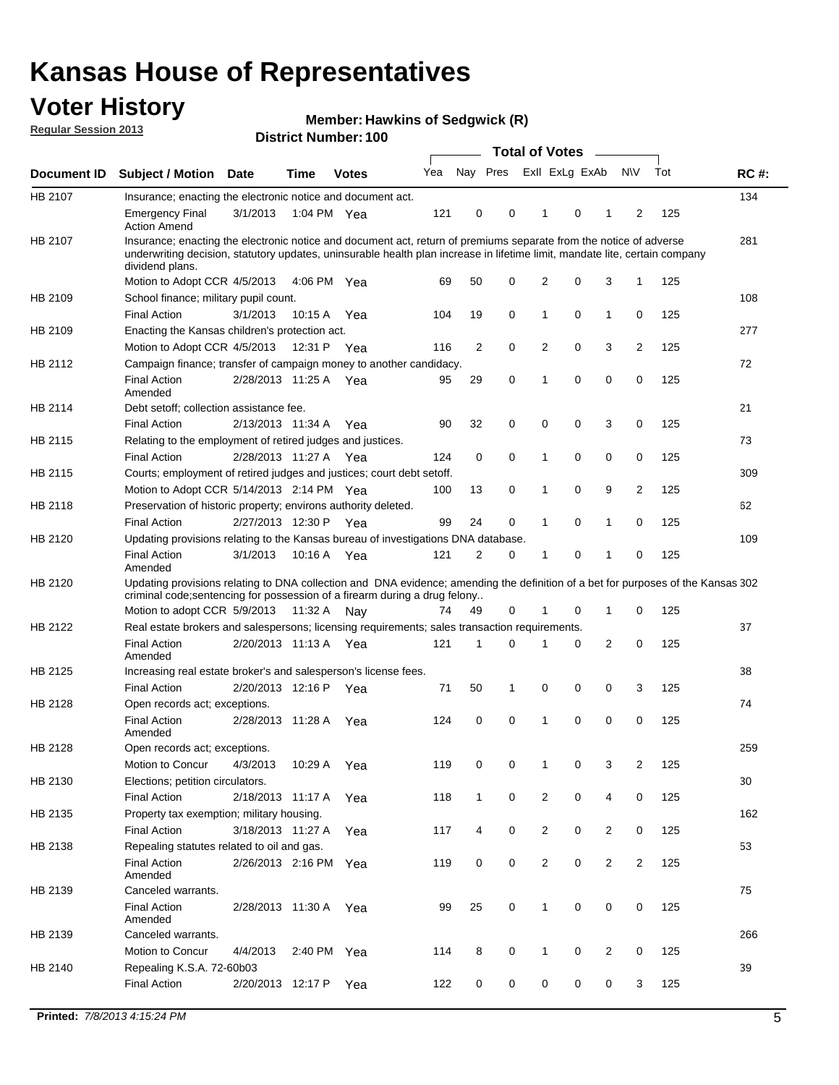## **Voter History**

**Member: Hawkins of Sedgwick (R)** 

**Regular Session 2013**

|             |                                                                                                                                                                                                                                                                      |                       |                       |              |     |                | <b>Total of Votes</b> |                |             | $\overline{\phantom{0}}$ |                         |     |             |
|-------------|----------------------------------------------------------------------------------------------------------------------------------------------------------------------------------------------------------------------------------------------------------------------|-----------------------|-----------------------|--------------|-----|----------------|-----------------------|----------------|-------------|--------------------------|-------------------------|-----|-------------|
| Document ID | <b>Subject / Motion Date</b>                                                                                                                                                                                                                                         |                       | Time                  | <b>Votes</b> | Yea | Nay Pres       |                       | Exll ExLg ExAb |             |                          | <b>NV</b>               | Tot | <b>RC#:</b> |
| HB 2107     | Insurance; enacting the electronic notice and document act.                                                                                                                                                                                                          |                       |                       |              |     |                |                       |                |             |                          |                         |     | 134         |
|             | <b>Emergency Final</b><br><b>Action Amend</b>                                                                                                                                                                                                                        | 3/1/2013              |                       | 1:04 PM Yea  | 121 | 0              | 0                     | 1              | 0           | 1                        | 2                       | 125 |             |
| HB 2107     | Insurance; enacting the electronic notice and document act, return of premiums separate from the notice of adverse<br>underwriting decision, statutory updates, uninsurable health plan increase in lifetime limit, mandate lite, certain company<br>dividend plans. |                       |                       |              |     |                |                       |                |             |                          |                         |     | 281         |
|             | Motion to Adopt CCR 4/5/2013                                                                                                                                                                                                                                         |                       | 4:06 PM               | Yea          | 69  | 50             | 0                     | 2              | 0           | 3                        | 1                       | 125 |             |
| HB 2109     | School finance; military pupil count.                                                                                                                                                                                                                                |                       |                       |              |     |                |                       |                |             |                          |                         |     | 108         |
|             | <b>Final Action</b>                                                                                                                                                                                                                                                  | 3/1/2013              | 10:15 A               | Yea          | 104 | 19             | 0                     | 1              | 0           | 1                        | 0                       | 125 |             |
| HB 2109     | Enacting the Kansas children's protection act.                                                                                                                                                                                                                       |                       |                       |              |     |                |                       |                |             |                          |                         |     | 277         |
|             | Motion to Adopt CCR 4/5/2013                                                                                                                                                                                                                                         |                       | 12:31 P Yea           |              | 116 | $\overline{2}$ | 0                     | 2              | 0           | 3                        | $\overline{2}$          | 125 |             |
| HB 2112     | Campaign finance; transfer of campaign money to another candidacy.                                                                                                                                                                                                   |                       |                       |              |     |                |                       |                |             |                          |                         |     | 72          |
|             | <b>Final Action</b><br>Amended                                                                                                                                                                                                                                       |                       | 2/28/2013 11:25 A Yea |              | 95  | 29             | 0                     | 1              | 0           | 0                        | 0                       | 125 |             |
| HB 2114     | Debt setoff; collection assistance fee.                                                                                                                                                                                                                              |                       |                       |              |     |                |                       |                |             |                          |                         |     | 21          |
|             | <b>Final Action</b>                                                                                                                                                                                                                                                  | 2/13/2013 11:34 A     |                       | Yea          | 90  | 32             | 0                     | 0              | 0           | 3                        | 0                       | 125 |             |
| HB 2115     | Relating to the employment of retired judges and justices.                                                                                                                                                                                                           |                       |                       |              |     |                |                       |                |             |                          |                         |     | 73          |
|             | <b>Final Action</b>                                                                                                                                                                                                                                                  | 2/28/2013 11:27 A     |                       | Yea          | 124 | 0              | 0                     | 1              | 0           | 0                        | 0                       | 125 |             |
| HB 2115     | Courts; employment of retired judges and justices; court debt setoff.                                                                                                                                                                                                |                       |                       |              |     |                |                       |                |             |                          |                         |     | 309         |
|             | Motion to Adopt CCR 5/14/2013 2:14 PM Yea                                                                                                                                                                                                                            |                       |                       |              | 100 | 13             | 0                     | 1              | 0           | 9                        | 2                       | 125 |             |
| HB 2118     | Preservation of historic property; environs authority deleted.                                                                                                                                                                                                       |                       |                       |              |     |                |                       |                |             |                          |                         |     | 62          |
|             | <b>Final Action</b>                                                                                                                                                                                                                                                  | 2/27/2013 12:30 P     |                       | Yea          | 99  | 24             | 0                     | 1              | 0           | 1                        | 0                       | 125 |             |
| HB 2120     | Updating provisions relating to the Kansas bureau of investigations DNA database.                                                                                                                                                                                    |                       |                       |              |     |                |                       |                |             |                          |                         |     | 109         |
|             | <b>Final Action</b><br>Amended                                                                                                                                                                                                                                       | 3/1/2013              | 10:16 A               | Yea          | 121 | 2              | 0                     | 1              | 0           | 1                        | 0                       | 125 |             |
| HB 2120     | Updating provisions relating to DNA collection and DNA evidence; amending the definition of a bet for purposes of the Kansas 302<br>criminal code; sentencing for possession of a firearm during a drug felony                                                       |                       |                       |              |     |                |                       |                |             |                          |                         |     |             |
|             | Motion to adopt CCR 5/9/2013 11:32 A Nay                                                                                                                                                                                                                             |                       |                       |              | 74  | 49             | 0                     |                | 0           | 1                        | 0                       | 125 |             |
| HB 2122     | Real estate brokers and salespersons; licensing requirements; sales transaction requirements.                                                                                                                                                                        |                       |                       |              |     |                |                       |                |             |                          |                         |     | 37          |
|             | <b>Final Action</b><br>Amended                                                                                                                                                                                                                                       | 2/20/2013 11:13 A Yea |                       |              | 121 | 1              | $\Omega$              |                | 0           | $\overline{2}$           | 0                       | 125 |             |
| HB 2125     | Increasing real estate broker's and salesperson's license fees.                                                                                                                                                                                                      |                       |                       |              |     |                |                       |                |             |                          |                         |     | 38          |
|             | <b>Final Action</b>                                                                                                                                                                                                                                                  | 2/20/2013 12:16 P     |                       | Yea          | 71  | 50             | 1                     | 0              | 0           | 0                        | 3                       | 125 |             |
| HB 2128     | Open records act; exceptions.                                                                                                                                                                                                                                        |                       |                       |              |     |                |                       |                |             |                          |                         |     | 74          |
|             | <b>Final Action</b><br>Amended                                                                                                                                                                                                                                       | 2/28/2013 11:28 A     |                       | Yea          | 124 | 0              | 0                     | 1              | 0           | 0                        | 0                       | 125 |             |
| HB 2128     | Open records act; exceptions.                                                                                                                                                                                                                                        |                       |                       |              |     |                |                       |                |             |                          |                         |     | 259         |
|             | Motion to Concur                                                                                                                                                                                                                                                     | 4/3/2013              | 10:29 A               | Yea          | 119 | 0              | 0                     | 1              | 0           | 3                        | $\overline{\mathbf{c}}$ | 125 |             |
| HB 2130     | Elections; petition circulators.                                                                                                                                                                                                                                     |                       |                       |              |     |                |                       |                |             |                          |                         |     | 30          |
|             | <b>Final Action</b>                                                                                                                                                                                                                                                  | 2/18/2013 11:17 A     |                       | Yea          | 118 | $\mathbf{1}$   | 0                     | $\overline{c}$ | 0           | 4                        | 0                       | 125 |             |
| HB 2135     | Property tax exemption; military housing.                                                                                                                                                                                                                            |                       |                       |              |     |                |                       |                |             |                          |                         |     | 162         |
|             | <b>Final Action</b>                                                                                                                                                                                                                                                  | 3/18/2013 11:27 A     |                       | Yea          | 117 | 4              | 0                     | $\overline{2}$ | 0           | $\overline{2}$           | 0                       | 125 |             |
| HB 2138     | Repealing statutes related to oil and gas.                                                                                                                                                                                                                           |                       |                       |              |     |                |                       |                |             |                          |                         |     | 53          |
|             | Final Action<br>Amended                                                                                                                                                                                                                                              | 2/26/2013 2:16 PM Yea |                       |              | 119 | 0              | 0                     | $\overline{2}$ | $\mathbf 0$ | $\overline{2}$           | $\overline{2}$          | 125 |             |
| HB 2139     | Canceled warrants.                                                                                                                                                                                                                                                   |                       |                       |              |     |                |                       |                |             |                          |                         |     | 75          |
|             | <b>Final Action</b><br>Amended                                                                                                                                                                                                                                       |                       | 2/28/2013 11:30 A     | Yea          | 99  | 25             | 0                     | $\mathbf{1}$   | 0           | 0                        | 0                       | 125 |             |
| HB 2139     | Canceled warrants.                                                                                                                                                                                                                                                   |                       |                       |              |     |                |                       |                |             |                          |                         |     | 266         |
|             | Motion to Concur                                                                                                                                                                                                                                                     | 4/4/2013              | 2:40 PM               | Yea          | 114 | 8              | 0                     | 1              | 0           | 2                        | 0                       | 125 |             |
| HB 2140     | Repealing K.S.A. 72-60b03                                                                                                                                                                                                                                            |                       |                       |              |     |                |                       |                |             |                          |                         |     | 39          |
|             | <b>Final Action</b>                                                                                                                                                                                                                                                  |                       | 2/20/2013 12:17 P     | Yea          | 122 | 0              | 0                     | 0              | 0           | 0                        | 3                       | 125 |             |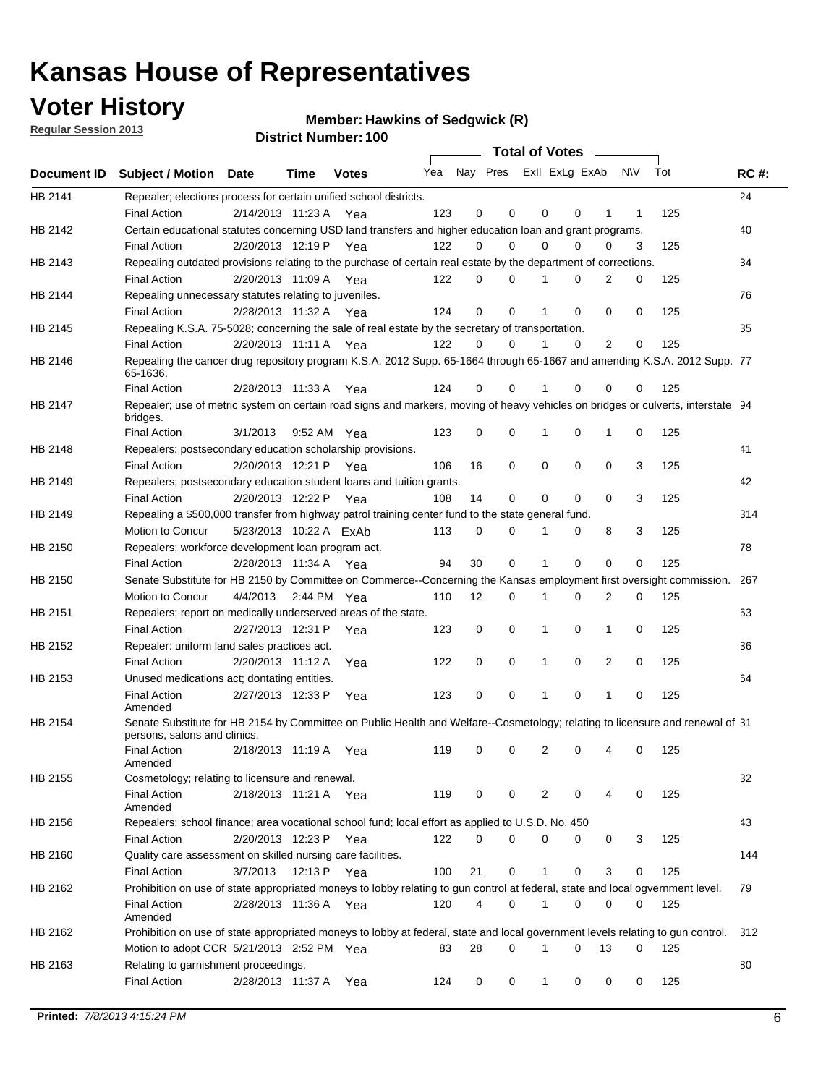## **Voter History**

**Member: Hawkins of Sedgwick (R)** 

**Regular Session 2013**

|             |                                                                                                                                              |          |                        |              |     |             | <b>Total of Votes</b>   |              |   | $\sim 100$ m $^{-1}$ |     |     |             |
|-------------|----------------------------------------------------------------------------------------------------------------------------------------------|----------|------------------------|--------------|-----|-------------|-------------------------|--------------|---|----------------------|-----|-----|-------------|
| Document ID | <b>Subject / Motion Date</b>                                                                                                                 |          | Time                   | <b>Votes</b> | Yea |             | Nay Pres ExII ExLg ExAb |              |   |                      | N\V | Tot | <b>RC#:</b> |
| HB 2141     | Repealer; elections process for certain unified school districts.                                                                            |          |                        |              |     |             |                         |              |   |                      |     |     | 24          |
|             | <b>Final Action</b>                                                                                                                          |          | 2/14/2013 11:23 A Yea  |              | 123 | 0           | 0                       | 0            | 0 | 1                    | 1   | 125 |             |
| HB 2142     | Certain educational statutes concerning USD land transfers and higher education loan and grant programs.                                     |          |                        |              |     |             |                         |              |   |                      |     |     | 40          |
|             | <b>Final Action</b>                                                                                                                          |          | 2/20/2013 12:19 P Yea  |              | 122 | 0           | 0                       | $\Omega$     | 0 | $\Omega$             | 3   | 125 |             |
| HB 2143     | Repealing outdated provisions relating to the purchase of certain real estate by the department of corrections.                              |          |                        |              |     |             |                         |              |   |                      |     |     | 34          |
|             | <b>Final Action</b>                                                                                                                          |          | 2/20/2013 11:09 A Yea  |              | 122 | 0           | 0                       | 1            | 0 | $\overline{2}$       | 0   | 125 |             |
| HB 2144     | Repealing unnecessary statutes relating to juveniles.                                                                                        |          |                        |              |     |             |                         |              |   |                      |     |     | 76          |
|             | <b>Final Action</b>                                                                                                                          |          | 2/28/2013 11:32 A Yea  |              | 124 | $\mathbf 0$ | 0                       | 1            | 0 | 0                    | 0   | 125 |             |
| HB 2145     | Repealing K.S.A. 75-5028; concerning the sale of real estate by the secretary of transportation.                                             |          |                        |              |     |             |                         |              |   |                      |     |     | 35          |
|             | <b>Final Action</b>                                                                                                                          |          | 2/20/2013 11:11 A Yea  |              | 122 | 0           | 0                       | 1            | 0 | 2                    | 0   | 125 |             |
| HB 2146     | Repealing the cancer drug repository program K.S.A. 2012 Supp. 65-1664 through 65-1667 and amending K.S.A. 2012 Supp. 77<br>65-1636.         |          |                        |              |     |             |                         |              |   |                      |     |     |             |
|             | <b>Final Action</b>                                                                                                                          |          | 2/28/2013 11:33 A      | Yea          | 124 | 0           | 0                       | 1            | 0 | 0                    | 0   | 125 |             |
| HB 2147     | Repealer; use of metric system on certain road signs and markers, moving of heavy vehicles on bridges or culverts, interstate 94<br>bridges. |          |                        |              |     |             |                         |              |   |                      |     |     |             |
|             | <b>Final Action</b>                                                                                                                          | 3/1/2013 |                        | 9:52 AM Yea  | 123 | $\mathbf 0$ | 0                       |              | 0 | 1                    | 0   | 125 |             |
| HB 2148     | Repealers; postsecondary education scholarship provisions.                                                                                   |          |                        |              |     |             |                         |              |   |                      |     |     | 41          |
|             | <b>Final Action</b>                                                                                                                          |          | 2/20/2013 12:21 P      | Yea          | 106 | 16          | 0                       | $\mathbf 0$  | 0 | $\mathbf 0$          | 3   | 125 |             |
| HB 2149     | Repealers; postsecondary education student loans and tuition grants.                                                                         |          |                        |              |     |             |                         |              |   |                      |     |     | 42          |
|             | <b>Final Action</b>                                                                                                                          |          | 2/20/2013 12:22 P      | Yea          | 108 | 14          | 0                       | 0            | 0 | $\Omega$             | 3   | 125 |             |
| HB 2149     | Repealing a \$500,000 transfer from highway patrol training center fund to the state general fund.                                           |          |                        |              |     |             |                         |              |   |                      |     |     | 314         |
|             | Motion to Concur                                                                                                                             |          | 5/23/2013 10:22 A ExAb |              | 113 | 0           | 0                       |              | 0 | 8                    | 3   | 125 |             |
| HB 2150     | Repealers; workforce development loan program act.                                                                                           |          |                        |              |     |             |                         |              |   |                      |     |     | 78          |
|             | <b>Final Action</b>                                                                                                                          |          | 2/28/2013 11:34 A Yea  |              | 94  | 30          | 0                       | 1            | 0 | 0                    | 0   | 125 |             |
| HB 2150     | Senate Substitute for HB 2150 by Committee on Commerce--Concerning the Kansas employment first oversight commission.                         |          |                        |              |     |             |                         |              |   |                      |     |     | 267         |
|             | Motion to Concur                                                                                                                             |          | 4/4/2013 2:44 PM Yea   |              | 110 | 12          | 0                       | 1            | 0 | 2                    | 0   | 125 |             |
| HB 2151     | Repealers; report on medically underserved areas of the state.                                                                               |          |                        |              |     |             |                         |              |   |                      |     |     | 63          |
|             | <b>Final Action</b>                                                                                                                          |          | 2/27/2013 12:31 P      | Yea          | 123 | 0           | 0                       | 1            | 0 | 1                    | 0   | 125 |             |
| HB 2152     | Repealer: uniform land sales practices act.                                                                                                  |          |                        |              |     |             |                         |              |   |                      |     |     | 36          |
|             | <b>Final Action</b>                                                                                                                          |          | 2/20/2013 11:12 A      | Yea          | 122 | 0           | 0                       | 1            | 0 | 2                    | 0   | 125 |             |
| HB 2153     | Unused medications act; dontating entities.                                                                                                  |          |                        |              |     |             |                         |              |   |                      |     |     | 64          |
|             | <b>Final Action</b>                                                                                                                          |          | 2/27/2013 12:33 P      | Yea          | 123 | 0           | 0                       | 1            | 0 | 1                    | 0   | 125 |             |
|             | Amended                                                                                                                                      |          |                        |              |     |             |                         |              |   |                      |     |     |             |
| HB 2154     | Senate Substitute for HB 2154 by Committee on Public Health and Welfare--Cosmetology; relating to licensure and renewal of 31                |          |                        |              |     |             |                         |              |   |                      |     |     |             |
|             | persons, salons and clinics.                                                                                                                 |          |                        |              |     |             |                         |              |   |                      |     |     |             |
|             | <b>Final Action</b><br>Amended                                                                                                               |          | 2/18/2013 11:19 A      | Yea          | 119 | 0           | 0                       | 2            | 0 | 4                    | 0   | 125 |             |
| HB 2155     | Cosmetology; relating to licensure and renewal.                                                                                              |          |                        |              |     |             |                         |              |   |                      |     |     | 32          |
|             | <b>Final Action</b>                                                                                                                          |          | 2/18/2013 11:21 A Yea  |              | 119 | 0           | 0                       | 2            | 0 |                      | 0   | 125 |             |
|             | Amended                                                                                                                                      |          |                        |              |     |             |                         |              |   |                      |     |     |             |
| HB 2156     | Repealers; school finance; area vocational school fund; local effort as applied to U.S.D. No. 450                                            |          |                        |              |     |             |                         |              |   |                      |     |     | 43          |
|             | <b>Final Action</b>                                                                                                                          |          | 2/20/2013 12:23 P Yea  |              | 122 | 0           | 0                       | 0            | 0 | 0                    | 3   | 125 |             |
| HB 2160     | Quality care assessment on skilled nursing care facilities.                                                                                  |          |                        |              |     |             |                         |              |   |                      |     |     | 144         |
|             | <b>Final Action</b>                                                                                                                          | 3/7/2013 |                        | 12:13 P Yea  | 100 | 21          | 0                       | 1            | 0 | 3                    | 0   | 125 |             |
| HB 2162     | Prohibition on use of state appropriated moneys to lobby relating to gun control at federal, state and local ogvernment level.               |          |                        |              |     |             |                         |              |   |                      |     |     | 79          |
|             | <b>Final Action</b><br>Amended                                                                                                               |          | 2/28/2013 11:36 A Yea  |              | 120 | 4           | 0                       | 1            | 0 | 0                    | 0   | 125 |             |
| HB 2162     | Prohibition on use of state appropriated moneys to lobby at federal, state and local government levels relating to gun control.              |          |                        |              |     |             |                         |              |   |                      |     |     | 312         |
|             | Motion to adopt CCR 5/21/2013 2:52 PM Yea                                                                                                    |          |                        |              | 83  | 28          | 0                       |              | 0 | 13                   | 0   | 125 |             |
| HB 2163     | Relating to garnishment proceedings.                                                                                                         |          |                        |              |     |             |                         |              |   |                      |     |     | 80          |
|             | <b>Final Action</b>                                                                                                                          |          | 2/28/2013 11:37 A Yea  |              | 124 | 0           | 0                       | $\mathbf{1}$ | 0 | 0                    | 0   | 125 |             |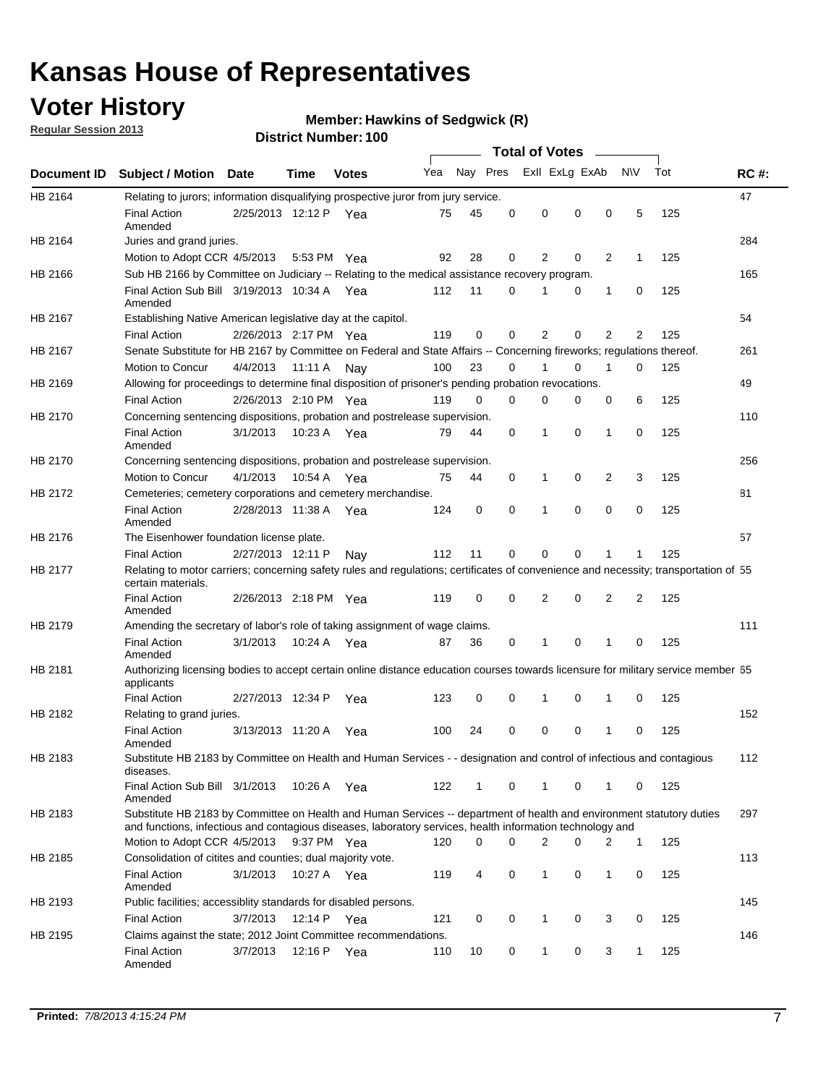## **Voter History**

**Regular Session 2013**

#### **Member: Hawkins of Sedgwick (R)**

|                    |                                                                                                                                                                                                                                    |                       |             |              |              |              |          | <b>Total of Votes</b> |          | $\sim$ |                |     |             |
|--------------------|------------------------------------------------------------------------------------------------------------------------------------------------------------------------------------------------------------------------------------|-----------------------|-------------|--------------|--------------|--------------|----------|-----------------------|----------|--------|----------------|-----|-------------|
| <b>Document ID</b> | <b>Subject / Motion Date</b>                                                                                                                                                                                                       |                       | Time        | <b>Votes</b> | Yea Nay Pres |              |          | Exll ExLg ExAb        |          |        | <b>NV</b>      | Tot | <b>RC#:</b> |
| HB 2164            | Relating to jurors; information disqualifying prospective juror from jury service.                                                                                                                                                 |                       |             |              |              |              |          |                       |          |        |                |     | 47          |
|                    | <b>Final Action</b><br>Amended                                                                                                                                                                                                     | 2/25/2013 12:12 P Yea |             |              | 75           | 45           | 0        | 0                     | 0        | 0      | 5              | 125 |             |
| HB 2164            | Juries and grand juries.                                                                                                                                                                                                           |                       |             |              |              |              |          |                       |          |        |                |     | 284         |
|                    | Motion to Adopt CCR 4/5/2013                                                                                                                                                                                                       |                       | 5:53 PM Yea |              | 92           | 28           | 0        | 2                     | 0        | 2      | $\mathbf 1$    | 125 |             |
| HB 2166            | Sub HB 2166 by Committee on Judiciary -- Relating to the medical assistance recovery program.                                                                                                                                      |                       |             |              |              |              |          |                       |          |        |                |     | 165         |
|                    | Final Action Sub Bill 3/19/2013 10:34 A Yea<br>Amended                                                                                                                                                                             |                       |             |              | 112          | 11           | 0        | 1                     | 0        | 1      | 0              | 125 |             |
| HB 2167            | Establishing Native American legislative day at the capitol.                                                                                                                                                                       |                       |             |              |              |              |          |                       |          |        |                |     | 54          |
|                    | <b>Final Action</b>                                                                                                                                                                                                                | 2/26/2013 2:17 PM Yea |             |              | 119          | 0            | 0        | 2                     | 0        | 2      | 2              | 125 |             |
| HB 2167            | Senate Substitute for HB 2167 by Committee on Federal and State Affairs -- Concerning fireworks; regulations thereof.                                                                                                              |                       |             |              |              |              |          |                       |          |        |                |     | 261         |
|                    | Motion to Concur                                                                                                                                                                                                                   | 4/4/2013              | 11:11 A     | Nav          | 100          | 23           | 0        | 1                     | 0        | 1      | 0              | 125 |             |
| HB 2169            | Allowing for proceedings to determine final disposition of prisoner's pending probation revocations.                                                                                                                               |                       |             |              |              |              |          |                       |          |        |                |     | 49          |
|                    | <b>Final Action</b>                                                                                                                                                                                                                | 2/26/2013 2:10 PM Yea |             |              | 119          | 0            | 0        | 0                     | 0        | 0      | 6              | 125 |             |
| HB 2170            | Concerning sentencing dispositions, probation and postrelease supervision.                                                                                                                                                         |                       |             |              |              |              |          |                       |          |        |                |     | 110         |
|                    | <b>Final Action</b><br>Amended                                                                                                                                                                                                     | 3/1/2013              | 10:23 A Yea |              | 79           | 44           | 0        | 1                     | 0        | 1      | 0              | 125 |             |
| HB 2170            | Concerning sentencing dispositions, probation and postrelease supervision.                                                                                                                                                         |                       |             |              |              |              |          |                       |          |        |                |     | 256         |
|                    | Motion to Concur                                                                                                                                                                                                                   | 4/1/2013              | 10:54 A     | Yea          | 75           | 44           | 0        | $\mathbf{1}$          | 0        | 2      | 3              | 125 |             |
| HB 2172            | Cemeteries; cemetery corporations and cemetery merchandise.                                                                                                                                                                        |                       |             |              |              |              |          |                       |          |        |                |     | 81          |
|                    | <b>Final Action</b><br>Amended                                                                                                                                                                                                     | 2/28/2013 11:38 A Yea |             |              | 124          | 0            | $\Omega$ | 1                     | $\Omega$ | 0      | 0              | 125 |             |
| HB 2176            | The Eisenhower foundation license plate.                                                                                                                                                                                           |                       |             |              |              |              |          |                       |          |        |                |     | 57          |
|                    | <b>Final Action</b>                                                                                                                                                                                                                | 2/27/2013 12:11 P     |             | Nay          | 112          | 11           | 0        | 0                     | 0        |        | 1              | 125 |             |
| HB 2177            | Relating to motor carriers; concerning safety rules and regulations; certificates of convenience and necessity; transportation of 55<br>certain materials.                                                                         |                       |             |              |              |              |          |                       |          |        |                |     |             |
|                    | <b>Final Action</b><br>Amended                                                                                                                                                                                                     | 2/26/2013 2:18 PM Yea |             |              | 119          | 0            | 0        | 2                     | 0        | 2      | $\overline{2}$ | 125 |             |
| HB 2179            | Amending the secretary of labor's role of taking assignment of wage claims.                                                                                                                                                        |                       |             |              |              |              |          |                       |          |        |                |     | 111         |
|                    | <b>Final Action</b><br>Amended                                                                                                                                                                                                     | 3/1/2013              | 10:24 A Yea |              | 87           | 36           | 0        | 1                     | $\Omega$ |        | 0              | 125 |             |
| HB 2181            | Authorizing licensing bodies to accept certain online distance education courses towards licensure for military service member 55<br>applicants                                                                                    |                       |             |              |              |              |          |                       |          |        |                |     |             |
|                    | <b>Final Action</b>                                                                                                                                                                                                                | 2/27/2013 12:34 P     |             | Yea          | 123          | 0            | 0        | 1                     | 0        | 1      | 0              | 125 |             |
| HB 2182            | Relating to grand juries.                                                                                                                                                                                                          |                       |             |              |              |              |          |                       |          |        |                |     | 152         |
|                    | <b>Final Action</b><br>Amended                                                                                                                                                                                                     | 3/13/2013 11:20 A     |             | Yea          | 100          | 24           | 0        | 0                     | 0        | 1      | 0              | 125 |             |
| HB 2183            | Substitute HB 2183 by Committee on Health and Human Services - - designation and control of infectious and contagious<br>diseases.                                                                                                 |                       |             |              |              |              |          |                       |          |        |                |     | 112         |
|                    | Final Action Sub Bill 3/1/2013<br>Amended                                                                                                                                                                                          |                       |             | 10:26 A Yea  | 122          | $\mathbf{1}$ | 0        | 1                     | 0        | 1      | 0              | 125 |             |
| HB 2183            | Substitute HB 2183 by Committee on Health and Human Services -- department of health and environment statutory duties<br>and functions, infectious and contagious diseases, laboratory services, health information technology and |                       |             |              |              |              |          |                       |          |        |                |     | 297         |
|                    | Motion to Adopt CCR 4/5/2013                                                                                                                                                                                                       |                       | 9:37 PM Yea |              | 120          | 0            | 0        | 2                     | 0        | 2      | $\mathbf{1}$   | 125 |             |
| HB 2185            | Consolidation of citites and counties; dual majority vote.                                                                                                                                                                         |                       |             |              |              |              |          |                       |          |        |                |     | 113         |
|                    | <b>Final Action</b><br>Amended                                                                                                                                                                                                     | 3/1/2013              |             | 10:27 A Yea  | 119          | 4            | 0        | 1                     | 0        | 1      | 0              | 125 |             |
| HB 2193            | Public facilities; accessiblity standards for disabled persons.                                                                                                                                                                    |                       |             |              |              |              |          |                       |          |        |                |     | 145         |
|                    | <b>Final Action</b>                                                                                                                                                                                                                | 3/7/2013              | 12:14 P     | Yea          | 121          | 0            | 0        | 1                     | 0        | 3      | 0              | 125 |             |
| HB 2195            | Claims against the state; 2012 Joint Committee recommendations.                                                                                                                                                                    |                       |             |              |              |              |          |                       |          |        |                |     | 146         |
|                    | <b>Final Action</b><br>Amended                                                                                                                                                                                                     | 3/7/2013              | 12:16 P Yea |              | 110          | 10           | 0        | $\mathbf{1}$          | 0        | 3      | $\mathbf{1}$   | 125 |             |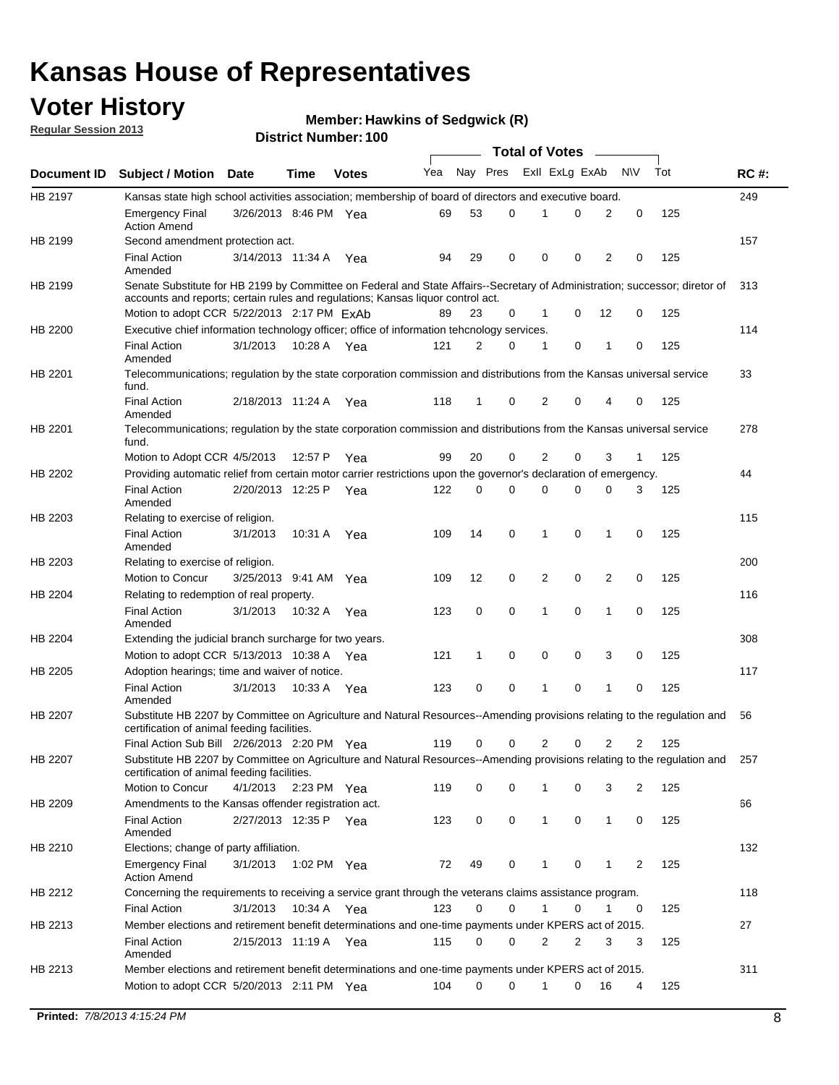## **Voter History**

**Member: Hawkins of Sedgwick (R)** 

**Regular Session 2013**

|             |                                                                                                                                                                             |                       |             |              |     |             |   | <b>Total of Votes</b> |   |                |              |     |             |
|-------------|-----------------------------------------------------------------------------------------------------------------------------------------------------------------------------|-----------------------|-------------|--------------|-----|-------------|---|-----------------------|---|----------------|--------------|-----|-------------|
| Document ID | <b>Subject / Motion Date</b>                                                                                                                                                |                       | Time        | <b>Votes</b> | Yea | Nay Pres    |   | Exll ExLg ExAb        |   |                | <b>NV</b>    | Tot | <b>RC#:</b> |
| HB 2197     | Kansas state high school activities association; membership of board of directors and executive board.                                                                      |                       |             |              |     |             |   |                       |   |                |              |     | 249         |
|             | <b>Emergency Final</b><br><b>Action Amend</b>                                                                                                                               | 3/26/2013 8:46 PM Yea |             |              | 69  | 53          | 0 |                       | 0 | 2              | 0            | 125 |             |
| HB 2199     | Second amendment protection act.                                                                                                                                            |                       |             |              |     |             |   |                       |   |                |              |     | 157         |
|             | <b>Final Action</b><br>Amended                                                                                                                                              | 3/14/2013 11:34 A     |             | Yea          | 94  | 29          | 0 | 0                     | 0 | 2              | 0            | 125 |             |
| HB 2199     | Senate Substitute for HB 2199 by Committee on Federal and State Affairs--Secretary of Administration; successor; diretor of                                                 |                       |             |              |     |             |   |                       |   |                |              |     | 313         |
|             | accounts and reports; certain rules and regulations; Kansas liquor control act.                                                                                             |                       |             |              |     |             |   |                       |   |                |              |     |             |
|             | Motion to adopt CCR 5/22/2013 2:17 PM ExAb                                                                                                                                  |                       |             |              | 89  | 23          | 0 | 1                     | 0 | 12             | 0            | 125 |             |
| HB 2200     | Executive chief information technology officer; office of information tehcnology services.                                                                                  |                       |             |              |     |             |   |                       |   |                |              |     | 114         |
|             | <b>Final Action</b><br>Amended                                                                                                                                              | 3/1/2013              | 10:28 A     | Yea          | 121 | 2           | 0 | 1                     | 0 | 1              | 0            | 125 |             |
| HB 2201     | Telecommunications; regulation by the state corporation commission and distributions from the Kansas universal service<br>fund.                                             |                       |             |              |     |             |   |                       |   |                |              |     | 33          |
|             | <b>Final Action</b><br>Amended                                                                                                                                              | 2/18/2013 11:24 A     |             | Yea          | 118 | 1           | 0 | 2                     | 0 | 4              | 0            | 125 |             |
| HB 2201     | Telecommunications; regulation by the state corporation commission and distributions from the Kansas universal service<br>fund.                                             |                       |             |              |     |             |   |                       |   |                |              |     | 278         |
|             | Motion to Adopt CCR 4/5/2013                                                                                                                                                |                       | 12:57 P     | Yea          | 99  | 20          | 0 | 2                     | 0 | 3              | $\mathbf{1}$ | 125 |             |
| HB 2202     | Providing automatic relief from certain motor carrier restrictions upon the governor's declaration of emergency.                                                            |                       |             |              |     |             |   |                       |   |                |              |     | 44          |
|             | <b>Final Action</b><br>Amended                                                                                                                                              | 2/20/2013 12:25 P     |             | Yea          | 122 | 0           | 0 | 0                     | 0 | 0              | 3            | 125 |             |
| HB 2203     | Relating to exercise of religion.                                                                                                                                           |                       |             |              |     |             |   |                       |   |                |              |     | 115         |
|             | <b>Final Action</b><br>Amended                                                                                                                                              | 3/1/2013              | 10:31 A     | Yea          | 109 | 14          | 0 | 1                     | 0 | 1              | 0            | 125 |             |
| HB 2203     | Relating to exercise of religion.                                                                                                                                           |                       |             |              |     |             |   |                       |   |                |              |     | 200         |
|             | Motion to Concur                                                                                                                                                            | 3/25/2013 9:41 AM     |             | Yea          | 109 | 12          | 0 | 2                     | 0 | 2              | 0            | 125 |             |
| HB 2204     | Relating to redemption of real property.                                                                                                                                    |                       |             |              |     |             |   |                       |   |                |              |     | 116         |
|             | <b>Final Action</b>                                                                                                                                                         | 3/1/2013              | 10:32 A     | Yea          | 123 | $\mathbf 0$ | 0 | 1                     | 0 | 1              | 0            | 125 |             |
| HB 2204     | Amended<br>Extending the judicial branch surcharge for two years.                                                                                                           |                       |             |              |     |             |   |                       |   |                |              |     | 308         |
|             | Motion to adopt CCR 5/13/2013 10:38 A Yea                                                                                                                                   |                       |             |              | 121 | 1           | 0 | 0                     | 0 | 3              | 0            | 125 |             |
| HB 2205     | Adoption hearings; time and waiver of notice.                                                                                                                               |                       |             |              |     |             |   |                       |   |                |              |     | 117         |
|             | <b>Final Action</b>                                                                                                                                                         | 3/1/2013              | 10:33 A Yea |              | 123 | 0           | 0 | 1                     | 0 | 1              | 0            | 125 |             |
|             | Amended                                                                                                                                                                     |                       |             |              |     |             |   |                       |   |                |              |     |             |
| HB 2207     | Substitute HB 2207 by Committee on Agriculture and Natural Resources--Amending provisions relating to the regulation and<br>certification of animal feeding facilities.     |                       |             |              |     |             |   |                       |   |                |              |     | 56          |
|             | Final Action Sub Bill 2/26/2013 2:20 PM Yea                                                                                                                                 |                       |             |              | 119 | 0           | 0 | 2                     | 0 | $\overline{2}$ | 2            | 125 |             |
| HB 2207     | Substitute HB 2207 by Committee on Agriculture and Natural Resources--Amending provisions relating to the regulation and 257<br>certification of animal feeding facilities. |                       |             |              |     |             |   |                       |   |                |              |     |             |
|             | Motion to Concur                                                                                                                                                            | 4/1/2013              | 2:23 PM Yea |              | 119 | 0           | 0 | 1                     | 0 | 3              | 2            | 125 |             |
| HB 2209     | Amendments to the Kansas offender registration act.<br><b>Final Action</b>                                                                                                  | 2/27/2013 12:35 P Yea |             |              | 123 | 0           | 0 | $\mathbf{1}$          | 0 | $\mathbf{1}$   | 0            | 125 | 66          |
| HB 2210     | Amended<br>Elections; change of party affiliation.                                                                                                                          |                       |             |              |     |             |   |                       |   |                |              |     | 132         |
|             | <b>Emergency Final</b><br><b>Action Amend</b>                                                                                                                               | 3/1/2013              | 1:02 PM Yea |              | 72  | 49          | 0 |                       | 0 | 1              | 2            | 125 |             |
| HB 2212     | Concerning the requirements to receiving a service grant through the veterans claims assistance program.                                                                    |                       |             |              |     |             |   |                       |   |                |              |     | 118         |
|             | <b>Final Action</b>                                                                                                                                                         | 3/1/2013              | 10:34 A Yea |              | 123 | 0           | 0 | $\mathbf{1}$          | 0 | 1              | 0            | 125 |             |
| HB 2213     | Member elections and retirement benefit determinations and one-time payments under KPERS act of 2015.                                                                       |                       |             |              |     |             |   |                       |   |                |              |     | 27          |
|             | <b>Final Action</b><br>Amended                                                                                                                                              | 2/15/2013 11:19 A Yea |             |              | 115 | 0           | 0 | 2                     | 2 | 3              | 3            | 125 |             |
| HB 2213     | Member elections and retirement benefit determinations and one-time payments under KPERS act of 2015.                                                                       |                       |             |              |     |             |   |                       |   |                |              |     | 311         |
|             | Motion to adopt CCR 5/20/2013 2:11 PM Yea                                                                                                                                   |                       |             |              | 104 | $\Omega$    | 0 | 1                     | 0 | 16             | 4            | 125 |             |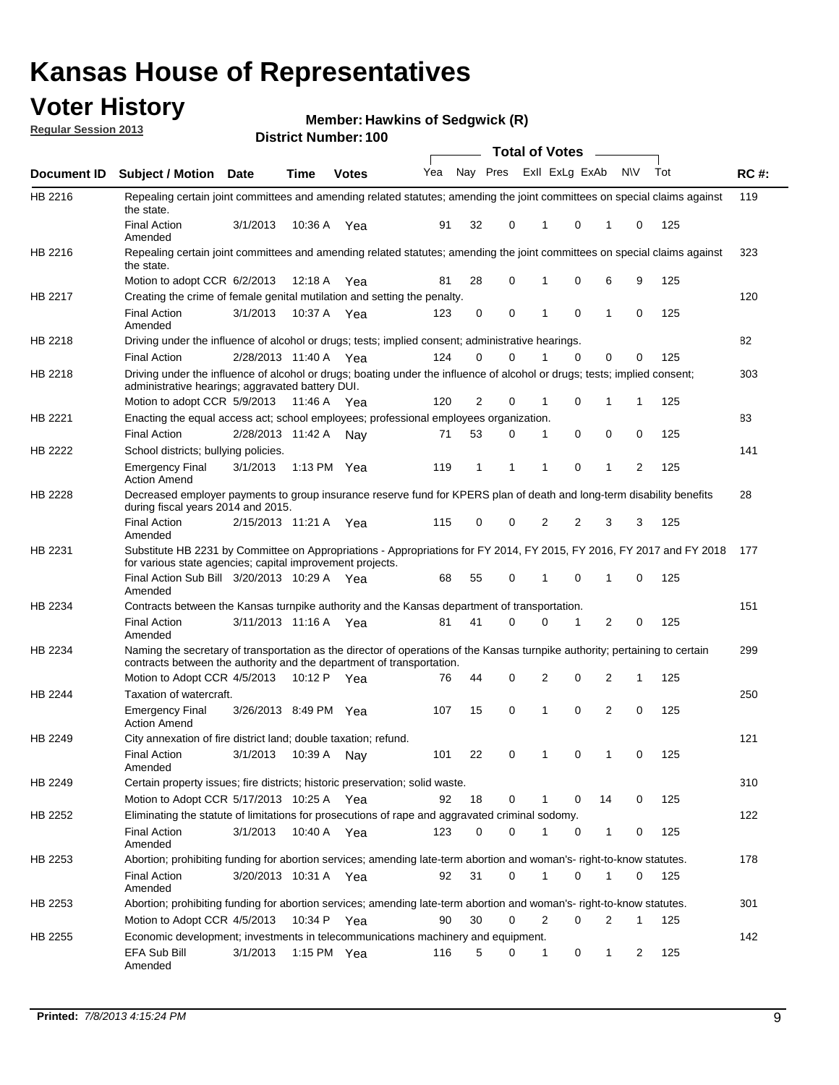## **Voter History**

**Member: Hawkins of Sedgwick (R)** 

**Regular Session 2013**

|             |                                                                                                                                                                                                       |                         |         |               |     |          |   | <b>Total of Votes</b> |          | $\overline{\phantom{0}}$ |           |     |             |
|-------------|-------------------------------------------------------------------------------------------------------------------------------------------------------------------------------------------------------|-------------------------|---------|---------------|-----|----------|---|-----------------------|----------|--------------------------|-----------|-----|-------------|
| Document ID | <b>Subject / Motion Date</b>                                                                                                                                                                          |                         | Time    | <b>Votes</b>  | Yea | Nay Pres |   | Exll ExLg ExAb        |          |                          | <b>NV</b> | Tot | <b>RC#:</b> |
| HB 2216     | Repealing certain joint committees and amending related statutes; amending the joint committees on special claims against<br>the state.                                                               |                         |         |               |     |          |   |                       |          |                          |           |     | 119         |
|             | <b>Final Action</b><br>Amended                                                                                                                                                                        | 3/1/2013                | 10:36 A | Yea           | 91  | 32       | 0 | 1                     | 0        | 1                        | 0         | 125 |             |
| HB 2216     | Repealing certain joint committees and amending related statutes; amending the joint committees on special claims against<br>the state.                                                               |                         |         |               |     |          |   |                       |          |                          |           |     | 323         |
|             | Motion to adopt CCR 6/2/2013                                                                                                                                                                          |                         | 12:18 A | Yea           | 81  | 28       | 0 | 1                     | 0        | 6                        | 9         | 125 |             |
| HB 2217     | Creating the crime of female genital mutilation and setting the penalty.                                                                                                                              |                         |         |               |     |          |   |                       |          |                          |           |     | 120         |
|             | <b>Final Action</b><br>Amended                                                                                                                                                                        | 3/1/2013                | 10:37 A | Yea           | 123 | 0        | 0 | 1                     | $\Omega$ | 1                        | 0         | 125 |             |
| HB 2218     | Driving under the influence of alcohol or drugs; tests; implied consent; administrative hearings.                                                                                                     |                         |         |               |     |          |   |                       |          |                          |           |     | 82          |
|             | <b>Final Action</b>                                                                                                                                                                                   | 2/28/2013 11:40 A Yea   |         |               | 124 | 0        | 0 |                       | $\Omega$ | 0                        | 0         | 125 |             |
| HB 2218     | Driving under the influence of alcohol or drugs; boating under the influence of alcohol or drugs; tests; implied consent;<br>administrative hearings; aggravated battery DUI.                         |                         |         |               |     |          |   |                       |          |                          |           |     | 303         |
|             | Motion to adopt CCR 5/9/2013                                                                                                                                                                          |                         | 11:46 A | Yea           | 120 | 2        | 0 | 1                     | 0        | 1                        | 1         | 125 |             |
| HB 2221     | Enacting the equal access act; school employees; professional employees organization.                                                                                                                 |                         |         |               |     |          |   |                       |          |                          |           |     | 83          |
|             | <b>Final Action</b>                                                                                                                                                                                   | 2/28/2013 11:42 A       |         | Nav           | 71  | 53       | 0 | 1                     | 0        | 0                        | 0         | 125 |             |
| HB 2222     | School districts; bullying policies.                                                                                                                                                                  |                         |         |               |     |          |   |                       |          |                          |           |     | 141         |
|             | <b>Emergency Final</b><br><b>Action Amend</b>                                                                                                                                                         | 3/1/2013                | 1:13 PM | Yea           | 119 | 1        | 1 | 1                     | 0        | 1                        | 2         | 125 |             |
| HB 2228     | Decreased employer payments to group insurance reserve fund for KPERS plan of death and long-term disability benefits<br>during fiscal years 2014 and 2015.                                           |                         |         |               |     |          |   |                       |          |                          |           |     | 28          |
|             | <b>Final Action</b><br>Amended                                                                                                                                                                        | 2/15/2013 11:21 A       |         | Yea           | 115 | 0        | 0 | 2                     | 2        | 3                        | 3         | 125 |             |
| HB 2231     | Substitute HB 2231 by Committee on Appropriations - Appropriations for FY 2014, FY 2015, FY 2016, FY 2017 and FY 2018<br>for various state agencies; capital improvement projects.                    |                         |         |               |     |          |   |                       |          |                          |           |     | 177         |
|             | Final Action Sub Bill 3/20/2013 10:29 A Yea<br>Amended                                                                                                                                                |                         |         |               | 68  | 55       | 0 | 1                     | 0        | 1                        | 0         | 125 |             |
| HB 2234     | Contracts between the Kansas turnpike authority and the Kansas department of transportation.                                                                                                          |                         |         |               |     |          |   |                       |          |                          |           |     | 151         |
|             | <b>Final Action</b><br>Amended                                                                                                                                                                        | 3/11/2013 11:16 A       |         | Yea           | 81  | 41       | 0 | 0                     | 1        | 2                        | 0         | 125 |             |
| HB 2234     | Naming the secretary of transportation as the director of operations of the Kansas turnpike authority; pertaining to certain<br>contracts between the authority and the department of transportation. |                         |         |               |     |          |   |                       |          |                          |           |     | 299         |
|             | Motion to Adopt CCR 4/5/2013                                                                                                                                                                          |                         | 10:12 P | Yea           | 76  | 44       | 0 | 2                     | 0        | 2                        | 1         | 125 |             |
| HB 2244     | Taxation of watercraft.<br><b>Emergency Final</b>                                                                                                                                                     | 3/26/2013 8:49 PM Yea   |         |               | 107 | 15       | 0 | 1                     | 0        | 2                        | 0         | 125 | 250         |
| HB 2249     | <b>Action Amend</b>                                                                                                                                                                                   |                         |         |               |     |          |   |                       |          |                          |           |     | 121         |
|             | City annexation of fire district land; double taxation; refund.<br>Final Action<br>Amended                                                                                                            | 3/1/2013  10:39 A   Nay |         |               | 101 | 22       | 0 | $\mathbf{1}$          | $\Omega$ | $\mathbf{1}$             | $\Omega$  | 125 |             |
| HB 2249     | Certain property issues; fire districts; historic preservation; solid waste.                                                                                                                          |                         |         |               |     |          |   |                       |          |                          |           |     | 310         |
|             | Motion to Adopt CCR 5/17/2013 10:25 A Yea                                                                                                                                                             |                         |         |               | 92  | 18       | 0 | 1                     | 0        | 14                       | 0         | 125 |             |
| HB 2252     | Eliminating the statute of limitations for prosecutions of rape and aggravated criminal sodomy.                                                                                                       |                         |         |               |     |          |   |                       |          |                          |           |     | 122         |
|             | <b>Final Action</b><br>Amended                                                                                                                                                                        | 3/1/2013                |         | 10:40 A Yea   | 123 | 0        | 0 |                       | 0        | 1                        | 0         | 125 |             |
| HB 2253     | Abortion; prohibiting funding for abortion services; amending late-term abortion and woman's- right-to-know statutes.                                                                                 |                         |         |               |     |          |   |                       |          |                          |           |     | 178         |
|             | <b>Final Action</b><br>Amended                                                                                                                                                                        | 3/20/2013 10:31 A Yea   |         |               | 92  | 31       | 0 | 1                     | 0        | 1                        | 0         | 125 |             |
| HB 2253     | Abortion; prohibiting funding for abortion services; amending late-term abortion and woman's- right-to-know statutes.                                                                                 |                         |         |               |     |          |   |                       |          |                          |           |     | 301         |
|             | Motion to Adopt CCR 4/5/2013                                                                                                                                                                          |                         |         | 10:34 P Yea   | 90  | 30       | 0 | $\overline{2}$        | 0        | 2                        | 1         | 125 |             |
| HB 2255     | Economic development; investments in telecommunications machinery and equipment.                                                                                                                      |                         |         |               |     |          |   |                       |          |                          |           |     | 142         |
|             | EFA Sub Bill<br>Amended                                                                                                                                                                               | 3/1/2013                |         | 1:15 PM $Yea$ | 116 | 5        | 0 | 1                     | 0        | 1                        | 2         | 125 |             |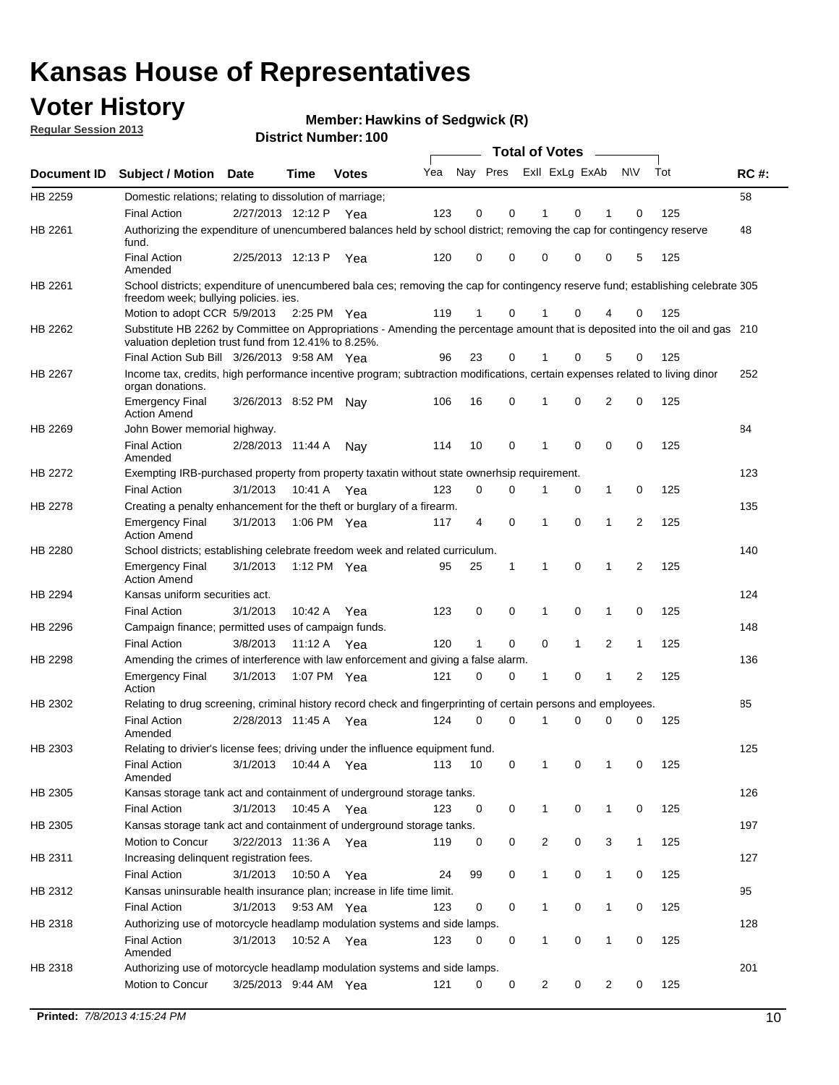## **Voter History**

**Member: Hawkins of Sedgwick (R)** 

**Regular Session 2013**

|             |                                                                                                                                                                                       |                       |             | טטו ויסעווווער ויטוווט |     |                         |             | <b>Total of Votes</b> |              | $\overline{\phantom{a}}$ |              |     |             |
|-------------|---------------------------------------------------------------------------------------------------------------------------------------------------------------------------------------|-----------------------|-------------|------------------------|-----|-------------------------|-------------|-----------------------|--------------|--------------------------|--------------|-----|-------------|
| Document ID | <b>Subject / Motion Date</b>                                                                                                                                                          |                       | <b>Time</b> | <b>Votes</b>           | Yea | Nay Pres Exll ExLg ExAb |             |                       |              |                          | <b>NV</b>    | Tot | <b>RC#:</b> |
| HB 2259     | Domestic relations; relating to dissolution of marriage;                                                                                                                              |                       |             |                        |     |                         |             |                       |              |                          |              |     | 58          |
|             | <b>Final Action</b>                                                                                                                                                                   | 2/27/2013 12:12 P     |             | Yea                    | 123 | 0                       | 0           | 1                     | 0            | 1                        | $\Omega$     | 125 |             |
| HB 2261     | Authorizing the expenditure of unencumbered balances held by school district; removing the cap for contingency reserve<br>fund.                                                       |                       |             |                        |     |                         |             |                       |              |                          |              |     | 48          |
|             | <b>Final Action</b><br>Amended                                                                                                                                                        | 2/25/2013 12:13 P     |             | Yea                    | 120 | 0                       | 0           | 0                     | 0            | 0                        | 5            | 125 |             |
| HB 2261     | School districts; expenditure of unencumbered bala ces; removing the cap for contingency reserve fund; establishing celebrate 305                                                     |                       |             |                        |     |                         |             |                       |              |                          |              |     |             |
|             | freedom week; bullying policies. ies.<br>Motion to adopt CCR 5/9/2013                                                                                                                 |                       | 2:25 PM Yea |                        | 119 | 1                       | 0           |                       | 0            | 4                        | 0            | 125 |             |
| HB 2262     | Substitute HB 2262 by Committee on Appropriations - Amending the percentage amount that is deposited into the oil and gas 210<br>valuation depletion trust fund from 12.41% to 8.25%. |                       |             |                        |     |                         |             |                       |              |                          |              |     |             |
|             | Final Action Sub Bill 3/26/2013 9:58 AM Yea                                                                                                                                           |                       |             |                        | 96  | 23                      | 0           |                       | 0            | 5                        | 0            | 125 |             |
| HB 2267     | Income tax, credits, high performance incentive program; subtraction modifications, certain expenses related to living dinor<br>organ donations.                                      |                       |             |                        |     |                         |             |                       |              |                          |              |     | 252         |
|             | <b>Emergency Final</b><br><b>Action Amend</b>                                                                                                                                         | 3/26/2013 8:52 PM Nay |             |                        | 106 | 16                      | 0           | 1                     | 0            | 2                        | 0            | 125 |             |
| HB 2269     | John Bower memorial highway.                                                                                                                                                          |                       |             |                        |     |                         |             |                       |              |                          |              |     | 84          |
|             | <b>Final Action</b><br>Amended                                                                                                                                                        | 2/28/2013 11:44 A     |             | Nay                    | 114 | 10                      | 0           | 1                     | 0            | 0                        | 0            | 125 |             |
| HB 2272     | Exempting IRB-purchased property from property taxatin without state ownerhsip requirement.                                                                                           |                       |             |                        |     |                         |             |                       |              |                          |              |     | 123         |
|             | <b>Final Action</b>                                                                                                                                                                   | 3/1/2013              | 10:41 A     | Yea                    | 123 | 0                       | 0           | 1                     | 0            | $\mathbf{1}$             | 0            | 125 |             |
| HB 2278     | Creating a penalty enhancement for the theft or burglary of a firearm.                                                                                                                |                       |             |                        |     |                         |             |                       |              |                          |              |     | 135         |
|             | <b>Emergency Final</b><br><b>Action Amend</b>                                                                                                                                         | 3/1/2013              | 1:06 PM Yea |                        | 117 | 4                       | $\mathbf 0$ | 1                     | 0            | 1                        | 2            | 125 |             |
| HB 2280     | School districts; establishing celebrate freedom week and related curriculum.                                                                                                         |                       |             |                        |     |                         |             |                       |              |                          |              |     | 140         |
|             | <b>Emergency Final</b><br><b>Action Amend</b>                                                                                                                                         | 3/1/2013              | 1:12 PM Yea |                        | 95  | 25                      | 1           | 1                     | 0            | 1                        | 2            | 125 |             |
| HB 2294     | Kansas uniform securities act.                                                                                                                                                        |                       |             |                        |     |                         |             |                       |              |                          |              |     | 124         |
|             | <b>Final Action</b>                                                                                                                                                                   | 3/1/2013              | 10:42 A     | Yea                    | 123 | 0                       | 0           | 1                     | 0            | 1                        | 0            | 125 |             |
| HB 2296     | Campaign finance; permitted uses of campaign funds.                                                                                                                                   |                       |             |                        |     |                         |             |                       |              |                          |              |     | 148         |
|             | <b>Final Action</b>                                                                                                                                                                   | 3/8/2013              | 11:12 A Yea |                        | 120 | $\mathbf{1}$            | 0           | 0                     | $\mathbf{1}$ | 2                        | $\mathbf{1}$ | 125 |             |
| HB 2298     | Amending the crimes of interference with law enforcement and giving a false alarm.                                                                                                    |                       |             |                        |     |                         |             |                       |              |                          |              |     | 136         |
|             | <b>Emergency Final</b><br>Action                                                                                                                                                      | 3/1/2013              | 1:07 PM Yea |                        | 121 | 0                       | 0           | 1                     | 0            | 1                        | 2            | 125 |             |
| HB 2302     | Relating to drug screening, criminal history record check and fingerprinting of certain persons and employees.                                                                        |                       |             |                        |     |                         |             |                       |              |                          |              |     | 85          |
|             | <b>Final Action</b><br>Amended                                                                                                                                                        | 2/28/2013 11:45 A     |             | Yea                    | 124 | 0                       | $\Omega$    | 1                     | 0            | 0                        | $\mathbf 0$  | 125 |             |
| HB 2303     | Relating to drivier's license fees; driving under the influence equipment fund.                                                                                                       |                       |             |                        |     |                         |             |                       |              |                          |              |     | 125         |
|             | <b>Final Action</b><br>Amended                                                                                                                                                        | 3/1/2013              | 10:44 A     | Yea                    | 113 | 10                      | 0           | 1                     | 0            | 1                        | 0            | 125 |             |
| HB 2305     | Kansas storage tank act and containment of underground storage tanks.                                                                                                                 |                       |             |                        |     |                         |             |                       |              |                          |              |     | 126         |
|             | <b>Final Action</b>                                                                                                                                                                   | 3/1/2013              | 10:45 A     | Yea                    | 123 | 0                       | 0           | 1                     | 0            | 1                        | 0            | 125 |             |
| HB 2305     | Kansas storage tank act and containment of underground storage tanks.                                                                                                                 |                       |             |                        |     |                         |             |                       |              |                          |              |     | 197         |
|             | Motion to Concur                                                                                                                                                                      | 3/22/2013 11:36 A     |             | Yea                    | 119 | 0                       | 0           | 2                     | 0            | 3                        | $\mathbf{1}$ | 125 |             |
| HB 2311     | Increasing delinquent registration fees.                                                                                                                                              |                       |             |                        |     |                         |             |                       |              |                          |              |     | 127         |
|             | <b>Final Action</b>                                                                                                                                                                   | 3/1/2013              | 10:50 A     | Yea                    | 24  | 99                      | 0           | $\mathbf{1}$          | 0            | 1                        | 0            | 125 |             |
| HB 2312     | Kansas uninsurable health insurance plan; increase in life time limit.                                                                                                                |                       |             |                        |     |                         |             |                       |              |                          |              |     | 95          |
|             | <b>Final Action</b>                                                                                                                                                                   | 3/1/2013              | 9:53 AM Yea |                        | 123 | 0                       | 0           | 1                     | 0            | 1                        | 0            | 125 |             |
| HB 2318     | Authorizing use of motorcycle headlamp modulation systems and side lamps.                                                                                                             |                       |             |                        |     |                         |             |                       |              |                          |              |     | 128         |
|             | <b>Final Action</b><br>Amended                                                                                                                                                        | 3/1/2013              | 10:52 A     | Yea                    | 123 | 0                       | 0           | 1                     | 0            | 1                        | 0            | 125 |             |
| HB 2318     | Authorizing use of motorcycle headlamp modulation systems and side lamps.                                                                                                             |                       |             |                        |     |                         |             |                       |              |                          |              |     | 201         |
|             | Motion to Concur                                                                                                                                                                      | 3/25/2013 9:44 AM Yea |             |                        | 121 | 0                       | 0           | $\overline{c}$        | 0            | $\overline{c}$           | 0            | 125 |             |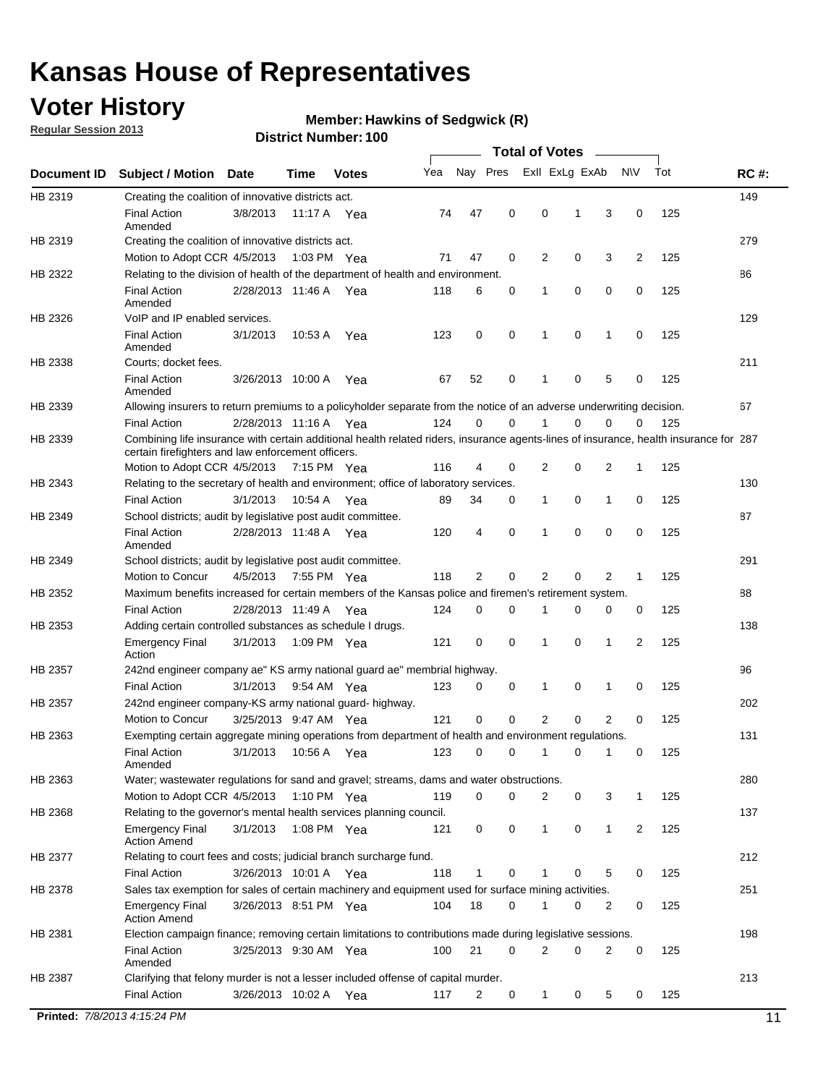## **Voter History**

**Regular Session 2013**

#### **Member: Hawkins of Sedgwick (R)**

|             |                                                                                                                                                                                             |                       |             |               |     |             |             | <b>Total of Votes</b> |             |                |             |     |             |
|-------------|---------------------------------------------------------------------------------------------------------------------------------------------------------------------------------------------|-----------------------|-------------|---------------|-----|-------------|-------------|-----------------------|-------------|----------------|-------------|-----|-------------|
| Document ID | <b>Subject / Motion</b>                                                                                                                                                                     | Date                  | Time        | <b>Votes</b>  | Yea | Nay Pres    |             | Exll ExLg ExAb        |             |                | <b>NV</b>   | Tot | <b>RC#:</b> |
| HB 2319     | Creating the coalition of innovative districts act.                                                                                                                                         |                       |             |               |     |             |             |                       |             |                |             |     | 149         |
|             | <b>Final Action</b><br>Amended                                                                                                                                                              | 3/8/2013              | 11:17 A     | Yea           | 74  | 47          | 0           | 0                     | 1           | 3              | 0           | 125 |             |
| HB 2319     | Creating the coalition of innovative districts act.<br>Motion to Adopt CCR 4/5/2013                                                                                                         |                       |             | 1:03 PM Yea   | 71  | 47          | 0           | 2                     | 0           | 3              | 2           | 125 | 279         |
| HB 2322     | Relating to the division of health of the department of health and environment.                                                                                                             |                       |             |               |     |             |             |                       |             |                |             |     | 86          |
|             | <b>Final Action</b><br>Amended                                                                                                                                                              | 2/28/2013 11:46 A Yea |             |               | 118 | 6           | 0           | 1                     | 0           | 0              | 0           | 125 |             |
| HB 2326     | VoIP and IP enabled services.                                                                                                                                                               |                       |             |               |     |             |             |                       |             |                |             |     | 129         |
|             | <b>Final Action</b><br>Amended                                                                                                                                                              | 3/1/2013              | 10:53 A     | Yea           | 123 | $\mathbf 0$ | 0           | 1                     | $\mathbf 0$ | 1              | $\mathbf 0$ | 125 |             |
| HB 2338     | Courts; docket fees.                                                                                                                                                                        |                       |             |               |     |             |             |                       |             |                |             |     | 211         |
|             | <b>Final Action</b><br>Amended                                                                                                                                                              | 3/26/2013 10:00 A     |             | Yea           | 67  | 52          | 0           | $\mathbf 1$           | 0           | 5              | 0           | 125 |             |
| HB 2339     | Allowing insurers to return premiums to a policyholder separate from the notice of an adverse underwriting decision.                                                                        |                       |             |               |     |             |             |                       |             |                |             |     | 67          |
|             | <b>Final Action</b>                                                                                                                                                                         | 2/28/2013 11:16 A Yea |             |               | 124 | 0           | 0           | 1                     | 0           | 0              | 0           | 125 |             |
| HB 2339     | Combining life insurance with certain additional health related riders, insurance agents-lines of insurance, health insurance for 287<br>certain firefighters and law enforcement officers. |                       |             |               |     |             |             |                       |             |                |             |     |             |
|             | Motion to Adopt CCR 4/5/2013 7:15 PM Yea                                                                                                                                                    |                       |             |               | 116 | 4           | 0           | 2                     | 0           | 2              | 1           | 125 |             |
| HB 2343     | Relating to the secretary of health and environment; office of laboratory services.                                                                                                         |                       |             |               |     |             |             |                       |             |                |             |     | 130         |
|             | <b>Final Action</b>                                                                                                                                                                         | 3/1/2013              | 10:54 A Yea |               | 89  | 34          | 0           | $\mathbf{1}$          | 0           | 1              | 0           | 125 |             |
| HB 2349     | School districts; audit by legislative post audit committee.<br><b>Final Action</b>                                                                                                         | 2/28/2013 11:48 A Yea |             |               | 120 | 4           | 0           | 1                     | $\Omega$    | $\Omega$       | 0           | 125 | 87          |
|             | Amended                                                                                                                                                                                     |                       |             |               |     |             |             |                       |             |                |             |     |             |
| HB 2349     | School districts; audit by legislative post audit committee.                                                                                                                                |                       |             |               |     |             |             |                       |             |                |             |     | 291         |
|             | Motion to Concur                                                                                                                                                                            | 4/5/2013              |             | 7:55 PM Yea   | 118 | 2           | 0           | 2                     | 0           | 2              | 1           | 125 |             |
| HB 2352     | Maximum benefits increased for certain members of the Kansas police and firemen's retirement system.                                                                                        |                       |             |               |     |             |             | 1                     |             |                |             |     | 88          |
|             | <b>Final Action</b>                                                                                                                                                                         | 2/28/2013 11:49 A     |             | Yea           | 124 | 0           | 0           |                       | 0           | 0              | 0           | 125 |             |
| HB 2353     | Adding certain controlled substances as schedule I drugs.<br><b>Emergency Final</b><br>Action                                                                                               | 3/1/2013              |             | 1:09 PM Yea   | 121 | $\mathbf 0$ | 0           | 1                     | 0           | 1              | 2           | 125 | 138         |
| HB 2357     | 242nd engineer company ae" KS army national guard ae" membrial highway.                                                                                                                     |                       |             |               |     |             |             |                       |             |                |             |     | 96          |
|             | <b>Final Action</b>                                                                                                                                                                         | 3/1/2013              |             | 9:54 AM Yea   | 123 | 0           | 0           | 1                     | 0           | 1              | 0           | 125 |             |
| HB 2357     | 242nd engineer company-KS army national guard- highway.                                                                                                                                     |                       |             |               |     |             |             |                       |             |                |             |     | 202         |
|             | Motion to Concur                                                                                                                                                                            | 3/25/2013 9:47 AM Yea |             |               | 121 | $\mathbf 0$ | $\mathbf 0$ | $\overline{2}$        | $\mathbf 0$ | $\overline{2}$ | 0           | 125 |             |
| HB 2363     | Exempting certain aggregate mining operations from department of health and environment regulations.                                                                                        |                       |             |               |     |             |             |                       |             |                |             |     | 131         |
|             | <b>Final Action</b><br>Amended                                                                                                                                                              | 3/1/2013              | 10:56 A     | Yea           | 123 | 0           | 0           | 1                     | 0           | 1              | 0           | 125 |             |
| HB 2363     | Water; wastewater regulations for sand and gravel; streams, dams and water obstructions.                                                                                                    |                       |             |               |     |             |             |                       |             |                |             |     | 280         |
|             | Motion to Adopt CCR 4/5/2013                                                                                                                                                                |                       |             | 1:10 PM $Yea$ | 119 | 0           | 0           | 2                     | 0           | 3              | 1           | 125 |             |
| HB 2368     | Relating to the governor's mental health services planning council.                                                                                                                         |                       |             |               |     |             |             |                       |             |                |             |     | 137         |
|             | <b>Emergency Final</b><br><b>Action Amend</b>                                                                                                                                               | 3/1/2013              |             | 1:08 PM Yea   | 121 | 0           | 0           | $\mathbf{1}$          | 0           | 1              | 2           | 125 |             |
| HB 2377     | Relating to court fees and costs; judicial branch surcharge fund.                                                                                                                           |                       |             |               |     |             |             |                       |             |                |             |     | 212         |
|             | <b>Final Action</b>                                                                                                                                                                         | 3/26/2013 10:01 A Yea |             |               | 118 | 1           | 0           |                       | 0           | 5              | 0           | 125 |             |
| HB 2378     | Sales tax exemption for sales of certain machinery and equipment used for surface mining activities.                                                                                        |                       |             |               |     |             |             |                       |             |                |             |     | 251         |
|             | <b>Emergency Final</b><br><b>Action Amend</b>                                                                                                                                               | 3/26/2013 8:51 PM Yea |             |               | 104 | 18          | 0           | 1                     | 0           | 2              | 0           | 125 |             |
| HB 2381     | Election campaign finance; removing certain limitations to contributions made during legislative sessions.                                                                                  |                       |             |               |     |             |             |                       |             |                |             |     | 198         |
|             | <b>Final Action</b><br>Amended                                                                                                                                                              | 3/25/2013 9:30 AM Yea |             |               | 100 | 21          | 0           | $\overline{2}$        | 0           | 2              | 0           | 125 |             |
| HB 2387     | Clarifying that felony murder is not a lesser included offense of capital murder.                                                                                                           |                       |             |               |     |             |             |                       |             |                |             |     | 213         |
|             | <b>Final Action</b>                                                                                                                                                                         | 3/26/2013 10:02 A     |             | Yea           | 117 | 2           | 0           | $\mathbf{1}$          | 0           | 5              | 0           | 125 |             |
|             | Printed: 7/8/2013 4:15:24 PM                                                                                                                                                                |                       |             |               |     |             |             |                       |             |                |             |     | 11          |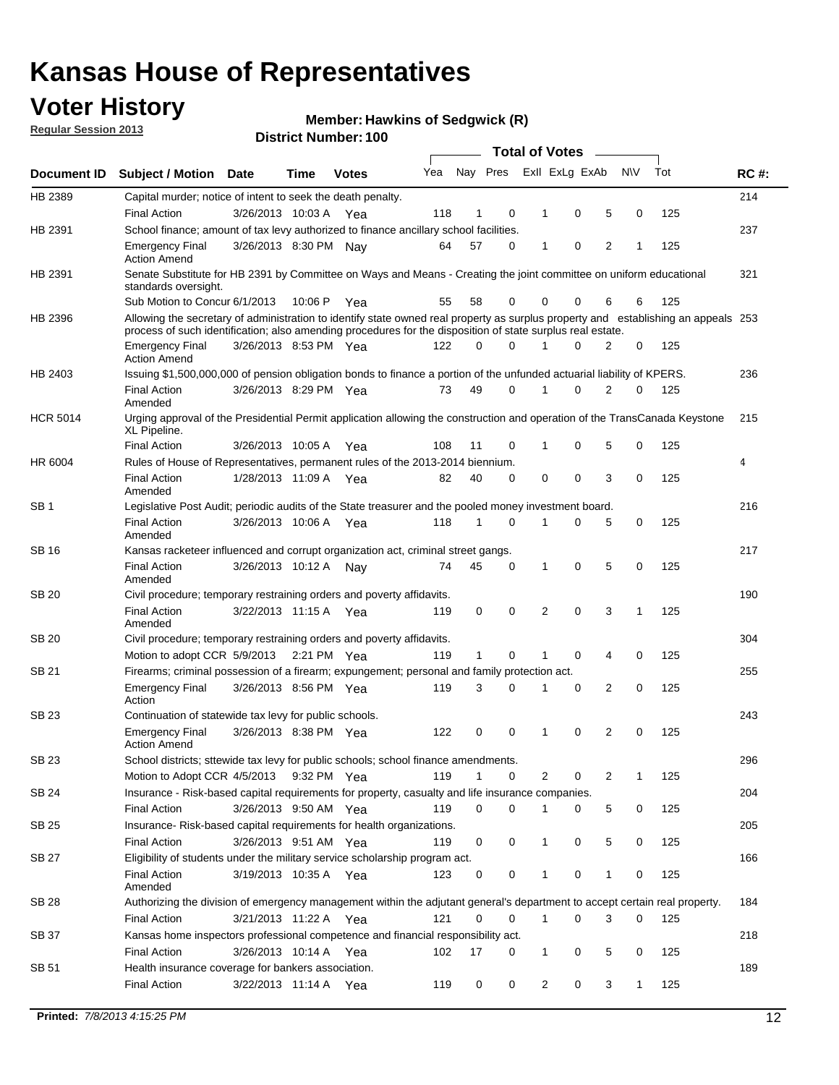## **Voter History**

**Regular Session 2013**

#### **Member: Hawkins of Sedgwick (R)**

|                 |                                                                                                                                                                                                                                                  |                       |         |              |     |              |          | <b>Total of Votes</b> |   |   |              |     |             |
|-----------------|--------------------------------------------------------------------------------------------------------------------------------------------------------------------------------------------------------------------------------------------------|-----------------------|---------|--------------|-----|--------------|----------|-----------------------|---|---|--------------|-----|-------------|
| Document ID     | Subject / Motion Date                                                                                                                                                                                                                            |                       | Time    | <b>Votes</b> | Yea | Nay Pres     |          | Exll ExLg ExAb        |   |   | <b>NV</b>    | Tot | <b>RC#:</b> |
| HB 2389         | Capital murder; notice of intent to seek the death penalty.                                                                                                                                                                                      |                       |         |              |     |              |          |                       |   |   |              |     | 214         |
|                 | <b>Final Action</b>                                                                                                                                                                                                                              | 3/26/2013 10:03 A     |         | Yea          | 118 | 1            | 0        | 1                     | 0 | 5 | 0            | 125 |             |
| HB 2391         | School finance; amount of tax levy authorized to finance ancillary school facilities.                                                                                                                                                            |                       |         |              |     |              |          |                       |   |   |              |     | 237         |
|                 | <b>Emergency Final</b><br><b>Action Amend</b>                                                                                                                                                                                                    | 3/26/2013 8:30 PM Nay |         |              | 64  | 57           | 0        | 1                     | 0 | 2 | 1            | 125 |             |
| HB 2391         | Senate Substitute for HB 2391 by Committee on Ways and Means - Creating the joint committee on uniform educational<br>standards oversight.                                                                                                       |                       |         |              |     |              |          |                       |   |   |              |     | 321         |
|                 | Sub Motion to Concur 6/1/2013                                                                                                                                                                                                                    |                       | 10:06 P | Yea          | 55  | 58           | 0        | 0                     | 0 | 6 | 6            | 125 |             |
| HB 2396         | Allowing the secretary of administration to identify state owned real property as surplus property and establishing an appeals 253<br>process of such identification; also amending procedures for the disposition of state surplus real estate. |                       |         |              |     |              |          |                       |   |   |              |     |             |
|                 | <b>Emergency Final</b><br><b>Action Amend</b>                                                                                                                                                                                                    | 3/26/2013 8:53 PM Yea |         |              | 122 | 0            | 0        | 1                     | 0 | 2 | 0            | 125 |             |
| HB 2403         | Issuing \$1,500,000,000 of pension obligation bonds to finance a portion of the unfunded actuarial liability of KPERS.                                                                                                                           |                       |         |              |     |              |          |                       |   |   |              |     | 236         |
|                 | <b>Final Action</b><br>Amended                                                                                                                                                                                                                   | 3/26/2013 8:29 PM Yea |         |              | 73  | 49           | 0        | 1                     | 0 | 2 | 0            | 125 |             |
| <b>HCR 5014</b> | Urging approval of the Presidential Permit application allowing the construction and operation of the TransCanada Keystone<br>XL Pipeline.                                                                                                       |                       |         |              |     |              |          |                       |   |   |              |     | 215         |
|                 | <b>Final Action</b>                                                                                                                                                                                                                              | 3/26/2013 10:05 A     |         | Yea          | 108 | 11           | 0        | 1                     | 0 | 5 | 0            | 125 |             |
| HR 6004         | Rules of House of Representatives, permanent rules of the 2013-2014 biennium.                                                                                                                                                                    |                       |         |              |     |              |          |                       |   |   |              |     | 4           |
|                 | <b>Final Action</b><br>Amended                                                                                                                                                                                                                   | 1/28/2013 11:09 A     |         | Yea          | 82  | 40           | 0        | 0                     | 0 | 3 | 0            | 125 |             |
| SB <sub>1</sub> | Legislative Post Audit; periodic audits of the State treasurer and the pooled money investment board.                                                                                                                                            |                       |         |              |     |              |          |                       |   |   |              |     | 216         |
|                 | <b>Final Action</b><br>Amended                                                                                                                                                                                                                   | 3/26/2013 10:06 A Yea |         |              | 118 | $\mathbf 1$  | 0        | 1                     | 0 | 5 | 0            | 125 |             |
| SB 16           | Kansas racketeer influenced and corrupt organization act, criminal street gangs.                                                                                                                                                                 |                       |         |              |     |              |          |                       |   |   |              |     | 217         |
|                 | <b>Final Action</b><br>Amended                                                                                                                                                                                                                   | 3/26/2013 10:12 A Nay |         |              | 74  | 45           | 0        | 1                     | 0 | 5 | 0            | 125 |             |
| SB 20           | Civil procedure; temporary restraining orders and poverty affidavits.                                                                                                                                                                            |                       |         |              |     |              |          |                       |   |   |              |     | 190         |
|                 | <b>Final Action</b><br>Amended                                                                                                                                                                                                                   | 3/22/2013 11:15 A     |         | Yea          | 119 | 0            | 0        | 2                     | 0 | 3 | 1            | 125 |             |
| SB 20           | Civil procedure; temporary restraining orders and poverty affidavits.                                                                                                                                                                            |                       |         |              |     |              |          |                       |   |   |              |     | 304         |
|                 | Motion to adopt CCR 5/9/2013 2:21 PM Yea                                                                                                                                                                                                         |                       |         |              | 119 | $\mathbf{1}$ | 0        | 1                     | 0 | 4 | 0            | 125 |             |
| SB 21           | Firearms; criminal possession of a firearm; expungement; personal and family protection act.                                                                                                                                                     |                       |         |              |     |              |          |                       |   |   |              |     | 255         |
|                 | <b>Emergency Final</b><br>Action                                                                                                                                                                                                                 | 3/26/2013 8:56 PM Yea |         |              | 119 | 3            | 0        | 1                     | 0 | 2 | 0            | 125 |             |
| SB 23           | Continuation of statewide tax levy for public schools.                                                                                                                                                                                           |                       |         |              |     |              |          |                       |   |   |              |     | 243         |
|                 | <b>Emergency Final</b><br><b>Action Amend</b>                                                                                                                                                                                                    | 3/26/2013 8:38 PM Yea |         |              | 122 | 0            | 0        | 1                     | 0 | 2 | 0            | 125 |             |
| SB 23           | School districts; sttewide tax levy for public schools; school finance amendments.                                                                                                                                                               |                       |         |              |     |              |          |                       |   |   |              |     | 296         |
|                 | Motion to Adopt CCR 4/5/2013 9:32 PM Yea                                                                                                                                                                                                         |                       |         |              | 119 | $\mathbf 1$  | 0        | 2                     | 0 | 2 | 1            | 125 |             |
| SB 24           | Insurance - Risk-based capital requirements for property, casualty and life insurance companies.                                                                                                                                                 |                       |         |              |     |              |          |                       |   |   |              |     | 204         |
|                 | <b>Final Action</b>                                                                                                                                                                                                                              | 3/26/2013 9:50 AM Yea |         |              | 119 | 0            | 0        | 1                     | 0 | 5 | 0            | 125 |             |
| SB 25           | Insurance-Risk-based capital requirements for health organizations.                                                                                                                                                                              |                       |         |              |     |              |          |                       |   |   |              |     | 205         |
|                 | <b>Final Action</b>                                                                                                                                                                                                                              | 3/26/2013 9:51 AM Yea |         |              | 119 | 0            | 0        | 1                     | 0 | 5 | 0            | 125 |             |
| SB 27           | Eligibility of students under the military service scholarship program act.                                                                                                                                                                      |                       |         |              |     |              |          |                       |   |   |              |     | 166         |
|                 | <b>Final Action</b><br>Amended                                                                                                                                                                                                                   | 3/19/2013 10:35 A Yea |         |              | 123 | 0            | 0        | 1                     | 0 | 1 | 0            | 125 |             |
| SB 28           | Authorizing the division of emergency management within the adjutant general's department to accept certain real property.                                                                                                                       |                       |         |              |     |              |          |                       |   |   |              |     | 184         |
|                 | Final Action                                                                                                                                                                                                                                     | 3/21/2013 11:22 A Yea |         |              | 121 | 0            | $\Omega$ | 1                     | 0 | 3 | 0            | 125 |             |
| SB 37           | Kansas home inspectors professional competence and financial responsibility act.                                                                                                                                                                 |                       |         |              |     |              |          |                       |   |   |              |     | 218         |
|                 | <b>Final Action</b>                                                                                                                                                                                                                              | 3/26/2013 10:14 A Yea |         |              | 102 | 17           | 0        | 1                     | 0 | 5 | 0            | 125 |             |
| SB 51           | Health insurance coverage for bankers association.                                                                                                                                                                                               |                       |         |              |     |              |          |                       |   |   |              |     | 189         |
|                 | <b>Final Action</b>                                                                                                                                                                                                                              | 3/22/2013 11:14 A Yea |         |              | 119 | 0            | 0        | 2                     | 0 | 3 | $\mathbf{1}$ | 125 |             |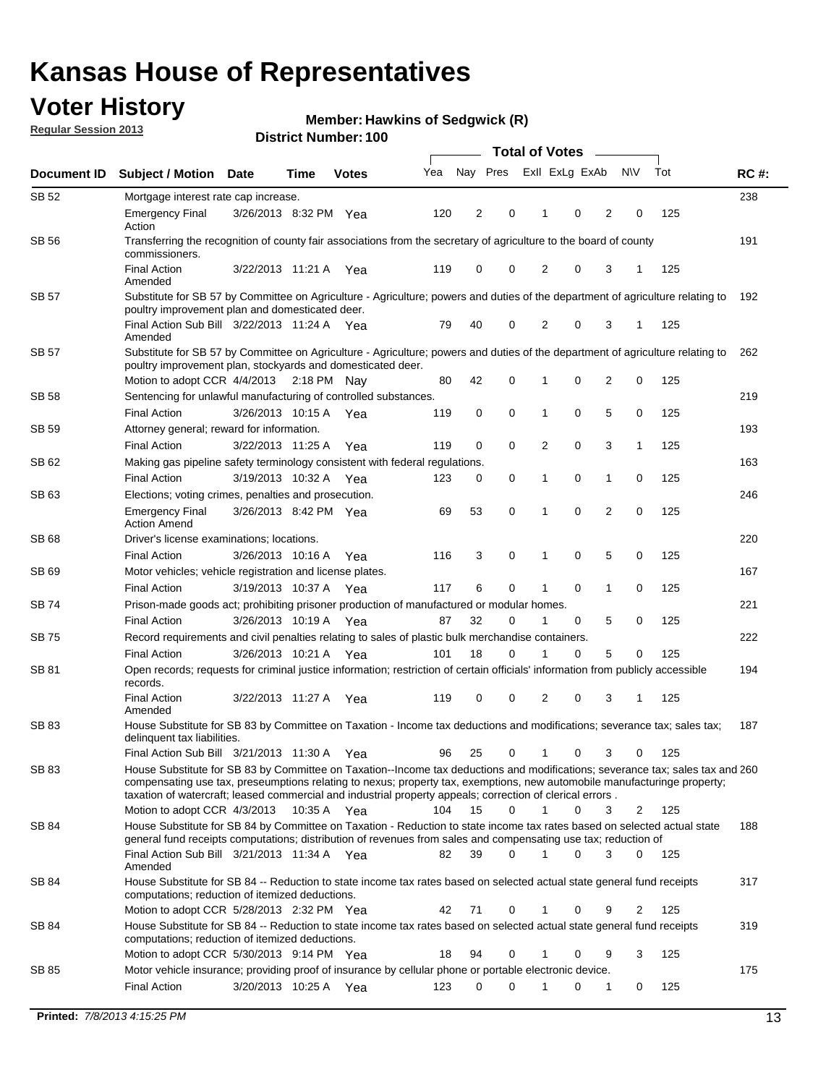## **Voter History**

**Member: Hawkins of Sedgwick (R)** 

**Regular Session 2013**

| Document ID  |                                                                                                                                                                                                                                                                                                                                                                         |                       |                       |              |     |                         |             |                |   |                |           |     |             |  |  |  |  |  |
|--------------|-------------------------------------------------------------------------------------------------------------------------------------------------------------------------------------------------------------------------------------------------------------------------------------------------------------------------------------------------------------------------|-----------------------|-----------------------|--------------|-----|-------------------------|-------------|----------------|---|----------------|-----------|-----|-------------|--|--|--|--|--|
|              | <b>Subject / Motion Date</b>                                                                                                                                                                                                                                                                                                                                            |                       | Time                  | <b>Votes</b> | Yea | Nay Pres                |             | Exll ExLg ExAb |   |                | <b>NV</b> | Tot | <b>RC#:</b> |  |  |  |  |  |
| SB 52        | Mortgage interest rate cap increase.                                                                                                                                                                                                                                                                                                                                    |                       |                       |              |     |                         |             |                |   |                |           |     | 238         |  |  |  |  |  |
|              | Emergency Final<br>Action                                                                                                                                                                                                                                                                                                                                               | 3/26/2013 8:32 PM Yea |                       |              | 120 | $\overline{\mathbf{c}}$ | 0           | 1              | 0 | 2              | 0         | 125 |             |  |  |  |  |  |
| <b>SB 56</b> | Transferring the recognition of county fair associations from the secretary of agriculture to the board of county<br>commissioners.                                                                                                                                                                                                                                     |                       |                       |              |     |                         |             |                |   |                |           |     | 191         |  |  |  |  |  |
|              | <b>Final Action</b><br>Amended                                                                                                                                                                                                                                                                                                                                          |                       | 3/22/2013 11:21 A     | Yea          | 119 | 0                       | 0           | 2              | 0 | 3              | 1         | 125 |             |  |  |  |  |  |
| <b>SB 57</b> | Substitute for SB 57 by Committee on Agriculture - Agriculture; powers and duties of the department of agriculture relating to<br>poultry improvement plan and domesticated deer.                                                                                                                                                                                       |                       |                       |              |     |                         |             |                |   |                |           |     | 192         |  |  |  |  |  |
|              | Final Action Sub Bill 3/22/2013 11:24 A Yea<br>Amended                                                                                                                                                                                                                                                                                                                  |                       |                       |              | 79  | 40                      | 0           | 2              | 0 | 3              | 1         | 125 |             |  |  |  |  |  |
| <b>SB 57</b> | Substitute for SB 57 by Committee on Agriculture - Agriculture; powers and duties of the department of agriculture relating to<br>poultry improvement plan, stockyards and domesticated deer.                                                                                                                                                                           |                       |                       |              |     |                         |             |                |   |                |           |     | 262         |  |  |  |  |  |
|              | Motion to adopt CCR 4/4/2013 2:18 PM Nav                                                                                                                                                                                                                                                                                                                                |                       |                       |              | 80  | 42                      | 0           | 1              | 0 | 2              | 0         | 125 |             |  |  |  |  |  |
| SB 58        | Sentencing for unlawful manufacturing of controlled substances.                                                                                                                                                                                                                                                                                                         |                       |                       |              |     |                         |             |                |   |                |           |     | 219         |  |  |  |  |  |
|              | <b>Final Action</b>                                                                                                                                                                                                                                                                                                                                                     |                       | 3/26/2013 10:15 A     | Yea          | 119 | 0                       | 0           | 1              | 0 | 5              | 0         | 125 |             |  |  |  |  |  |
| SB 59        | Attorney general; reward for information.                                                                                                                                                                                                                                                                                                                               |                       |                       |              |     |                         |             |                |   |                |           |     | 193         |  |  |  |  |  |
|              | <b>Final Action</b>                                                                                                                                                                                                                                                                                                                                                     |                       | 3/22/2013 11:25 A     | Yea          | 119 | 0                       | 0           | 2              | 0 | 3              | 1         | 125 |             |  |  |  |  |  |
| SB 62        | Making gas pipeline safety terminology consistent with federal regulations.                                                                                                                                                                                                                                                                                             |                       |                       |              |     |                         |             |                |   |                |           |     | 163         |  |  |  |  |  |
|              | <b>Final Action</b>                                                                                                                                                                                                                                                                                                                                                     |                       | 3/19/2013 10:32 A     | Yea          | 123 | 0                       | 0           | 1              | 0 | 1              | 0         | 125 |             |  |  |  |  |  |
| SB 63        | Elections; voting crimes, penalties and prosecution.                                                                                                                                                                                                                                                                                                                    |                       |                       |              |     |                         |             |                |   |                |           |     | 246         |  |  |  |  |  |
|              | <b>Emergency Final</b><br><b>Action Amend</b>                                                                                                                                                                                                                                                                                                                           |                       | 3/26/2013 8:42 PM Yea |              | 69  | 53                      | $\mathbf 0$ | 1              | 0 | $\overline{2}$ | 0         | 125 |             |  |  |  |  |  |
| <b>SB 68</b> | Driver's license examinations; locations.                                                                                                                                                                                                                                                                                                                               |                       |                       |              |     |                         |             |                |   |                |           |     | 220         |  |  |  |  |  |
|              | <b>Final Action</b>                                                                                                                                                                                                                                                                                                                                                     |                       | 3/26/2013 10:16 A     | Yea          | 116 | 3                       | 0           | 1              | 0 | 5              | 0         | 125 |             |  |  |  |  |  |
| SB 69        | Motor vehicles; vehicle registration and license plates.                                                                                                                                                                                                                                                                                                                |                       |                       |              |     |                         |             |                |   |                |           |     | 167         |  |  |  |  |  |
|              | <b>Final Action</b>                                                                                                                                                                                                                                                                                                                                                     |                       | 3/19/2013 10:37 A     | Yea          | 117 | 6                       | 0           | 1              | 0 | 1              | 0         | 125 |             |  |  |  |  |  |
| SB 74        | Prison-made goods act; prohibiting prisoner production of manufactured or modular homes.                                                                                                                                                                                                                                                                                |                       |                       |              |     |                         |             |                |   |                |           |     | 221         |  |  |  |  |  |
|              | <b>Final Action</b>                                                                                                                                                                                                                                                                                                                                                     |                       | 3/26/2013 10:19 A     | Yea          | 87  | 32                      | 0           | 1              | 0 | 5              | 0         | 125 |             |  |  |  |  |  |
| <b>SB 75</b> | Record requirements and civil penalties relating to sales of plastic bulk merchandise containers.                                                                                                                                                                                                                                                                       |                       |                       |              |     |                         |             |                |   |                |           |     | 222         |  |  |  |  |  |
|              | Final Action                                                                                                                                                                                                                                                                                                                                                            |                       | 3/26/2013 10:21 A     | Yea          | 101 | 18                      | 0           | 1              | 0 | 5              | 0         | 125 |             |  |  |  |  |  |
| SB 81        | Open records; requests for criminal justice information; restriction of certain officials' information from publicly accessible<br>records.                                                                                                                                                                                                                             |                       |                       |              |     |                         |             |                |   |                |           |     | 194         |  |  |  |  |  |
|              | <b>Final Action</b><br>Amended                                                                                                                                                                                                                                                                                                                                          |                       | 3/22/2013 11:27 A     | Yea          | 119 | 0                       | 0           | 2              | 0 | 3              | 1         | 125 |             |  |  |  |  |  |
| SB 83        | House Substitute for SB 83 by Committee on Taxation - Income tax deductions and modifications; severance tax; sales tax;<br>delinquent tax liabilities.                                                                                                                                                                                                                 |                       |                       |              |     |                         |             |                |   |                |           |     | 187         |  |  |  |  |  |
|              | Final Action Sub Bill 3/21/2013 11:30 A                                                                                                                                                                                                                                                                                                                                 |                       |                       | - Yea        | 96  | 25                      | 0           | 1              | 0 | 3              | 0         | 125 |             |  |  |  |  |  |
| SB 83        | House Substitute for SB 83 by Committee on Taxation--Income tax deductions and modifications; severance tax; sales tax and 260<br>compensating use tax, preseumptions relating to nexus; property tax, exemptions, new automobile manufacturinge property;<br>taxation of watercraft; leased commercial and industrial property appeals; correction of clerical errors. |                       |                       |              |     |                         |             |                |   |                |           |     |             |  |  |  |  |  |
|              | Motion to adopt CCR 4/3/2013                                                                                                                                                                                                                                                                                                                                            |                       | 10:35 A Yea           |              | 104 | 15                      | $\Omega$    | $\mathbf{1}$   | 0 | 3              | 2         | 125 |             |  |  |  |  |  |
| SB 84        | House Substitute for SB 84 by Committee on Taxation - Reduction to state income tax rates based on selected actual state<br>general fund receipts computations; distribution of revenues from sales and compensating use tax; reduction of                                                                                                                              |                       |                       |              |     |                         | 0           |                | 0 |                |           |     | 188         |  |  |  |  |  |
|              | Final Action Sub Bill 3/21/2013 11:34 A Yea<br>Amended                                                                                                                                                                                                                                                                                                                  |                       |                       |              | 82  | 39                      |             |                |   | 3              | $\Omega$  | 125 |             |  |  |  |  |  |
| SB 84        | House Substitute for SB 84 -- Reduction to state income tax rates based on selected actual state general fund receipts<br>computations; reduction of itemized deductions.                                                                                                                                                                                               |                       |                       |              |     |                         |             |                |   |                |           |     | 317         |  |  |  |  |  |
|              | Motion to adopt CCR 5/28/2013 2:32 PM Yea                                                                                                                                                                                                                                                                                                                               |                       |                       |              | 42  | 71                      | 0           | 1              | 0 | 9              | 2         | 125 |             |  |  |  |  |  |
| SB 84        | House Substitute for SB 84 -- Reduction to state income tax rates based on selected actual state general fund receipts<br>computations; reduction of itemized deductions.                                                                                                                                                                                               |                       |                       |              |     |                         |             |                |   |                |           |     | 319         |  |  |  |  |  |
|              | Motion to adopt CCR 5/30/2013 9:14 PM Yea                                                                                                                                                                                                                                                                                                                               |                       |                       |              | 18  | 94                      | 0           | 1              | 0 | 9              | 3         | 125 |             |  |  |  |  |  |
| SB 85        | Motor vehicle insurance; providing proof of insurance by cellular phone or portable electronic device.                                                                                                                                                                                                                                                                  |                       |                       |              |     |                         |             |                |   |                |           |     | 175         |  |  |  |  |  |
|              | Final Action                                                                                                                                                                                                                                                                                                                                                            |                       | 3/20/2013 10:25 A Yea |              | 123 | 0                       | 0           |                | 0 | 1              | 0         | 125 |             |  |  |  |  |  |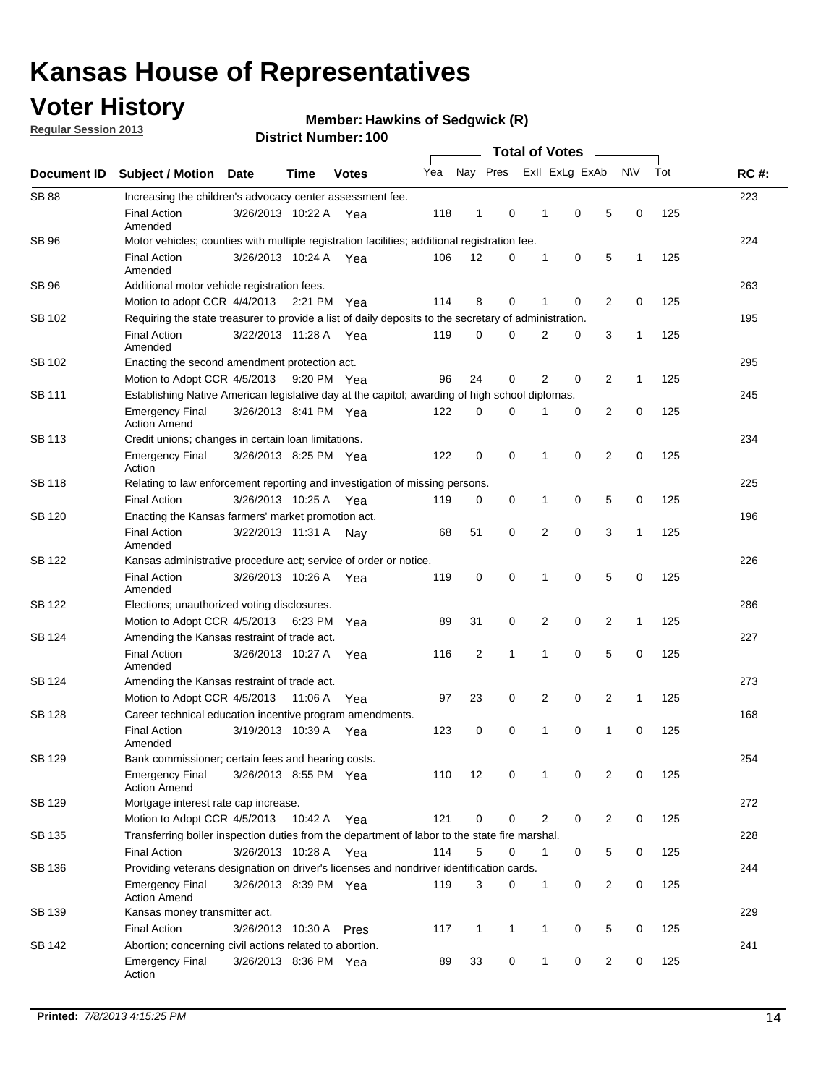## **Voter History**

**Regular Session 2013**

**Member: Hawkins of Sedgwick (R)** 

|                    |                                                                                                       | וסטו ויטגוווואסו ויטע  |             | <b>Total of Votes</b> |     |                |              |  |   |                |                |              |     |             |
|--------------------|-------------------------------------------------------------------------------------------------------|------------------------|-------------|-----------------------|-----|----------------|--------------|--|---|----------------|----------------|--------------|-----|-------------|
| <b>Document ID</b> | <b>Subject / Motion</b>                                                                               | Date                   | Time        | <b>Votes</b>          | Yea |                | Nay Pres     |  |   | Exll ExLg ExAb |                | N\V          | Tot | <b>RC#:</b> |
| <b>SB 88</b>       | Increasing the children's advocacy center assessment fee.                                             |                        |             |                       |     |                |              |  |   |                |                |              |     | 223         |
|                    | <b>Final Action</b><br>Amended                                                                        | 3/26/2013 10:22 A Yea  |             |                       | 118 | $\mathbf{1}$   | 0            |  | 1 | 0              | 5              | 0            | 125 |             |
| SB 96              | Motor vehicles; counties with multiple registration facilities; additional registration fee.          |                        |             |                       |     |                |              |  |   |                |                |              |     | 224         |
|                    | <b>Final Action</b><br>Amended                                                                        | 3/26/2013 10:24 A      |             | Yea                   | 106 | 12             | 0            |  | 1 | 0              | 5              | 1            | 125 |             |
| SB 96              | Additional motor vehicle registration fees.                                                           |                        |             |                       |     |                |              |  |   |                |                |              |     | 263         |
|                    | Motion to adopt CCR 4/4/2013 2:21 PM Yea                                                              |                        |             |                       | 114 | 8              | $\mathbf 0$  |  | 1 | 0              | 2              | 0            | 125 |             |
| SB 102             | Requiring the state treasurer to provide a list of daily deposits to the secretary of administration. |                        |             |                       |     |                |              |  |   |                |                |              |     | 195         |
|                    | <b>Final Action</b><br>Amended                                                                        | 3/22/2013 11:28 A Yea  |             |                       | 119 | 0              | 0            |  | 2 | 0              | 3              | 1            | 125 |             |
| SB 102             | Enacting the second amendment protection act.                                                         |                        |             |                       |     |                |              |  |   |                |                |              |     | 295         |
|                    | Motion to Adopt CCR 4/5/2013 9:20 PM Yea                                                              |                        |             |                       | 96  | 24             | 0            |  | 2 | 0              | $\overline{2}$ | $\mathbf{1}$ | 125 |             |
| <b>SB 111</b>      | Establishing Native American legislative day at the capitol; awarding of high school diplomas.        |                        |             |                       |     |                |              |  |   |                |                |              |     | 245         |
|                    | <b>Emergency Final</b><br><b>Action Amend</b>                                                         | 3/26/2013 8:41 PM Yea  |             |                       | 122 | $\mathbf 0$    | $\Omega$     |  |   | 0              | 2              | 0            | 125 |             |
| <b>SB 113</b>      | Credit unions; changes in certain loan limitations.                                                   |                        |             |                       |     |                |              |  |   |                |                |              |     | 234         |
|                    | <b>Emergency Final</b><br>Action                                                                      | 3/26/2013 8:25 PM Yea  |             |                       | 122 | $\mathbf 0$    | 0            |  | 1 | 0              | $\overline{2}$ | $\mathbf 0$  | 125 |             |
| <b>SB 118</b>      | Relating to law enforcement reporting and investigation of missing persons.                           |                        |             |                       |     |                |              |  |   |                |                |              |     | 225         |
|                    | <b>Final Action</b>                                                                                   | 3/26/2013 10:25 A      |             | Yea                   | 119 | 0              | 0            |  | 1 | 0              | 5              | 0            | 125 |             |
| SB 120             | Enacting the Kansas farmers' market promotion act.                                                    |                        |             |                       |     |                |              |  |   |                |                |              |     | 196         |
|                    | <b>Final Action</b><br>Amended                                                                        | 3/22/2013 11:31 A      |             | Nav                   | 68  | 51             | 0            |  | 2 | $\mathbf 0$    | 3              | 1            | 125 |             |
| SB 122             | Kansas administrative procedure act; service of order or notice.                                      |                        |             |                       |     |                |              |  |   |                |                |              |     | 226         |
|                    | <b>Final Action</b><br>Amended                                                                        | 3/26/2013 10:26 A Yea  |             |                       | 119 | 0              | $\mathbf 0$  |  | 1 | 0              | 5              | 0            | 125 |             |
| <b>SB 122</b>      | Elections; unauthorized voting disclosures.                                                           |                        |             |                       |     |                |              |  |   |                |                |              | 286 |             |
|                    | Motion to Adopt CCR 4/5/2013                                                                          |                        | 6:23 PM     | Yea                   | 89  | 31             | 0            |  | 2 | 0              | $\overline{c}$ | $\mathbf{1}$ | 125 |             |
| SB 124             | Amending the Kansas restraint of trade act.                                                           |                        |             |                       |     |                |              |  |   |                |                |              |     | 227         |
|                    | <b>Final Action</b><br>Amended                                                                        | 3/26/2013 10:27 A      |             | Yea                   | 116 | $\overline{2}$ | 1            |  | 1 | $\mathbf 0$    | 5              | $\mathbf 0$  | 125 |             |
| SB 124             | Amending the Kansas restraint of trade act.                                                           |                        |             |                       |     |                |              |  |   |                |                |              |     | 273         |
|                    | Motion to Adopt CCR 4/5/2013                                                                          |                        | 11:06 A     | Yea                   | 97  | 23             | 0            |  | 2 | 0              | 2              | 1            | 125 |             |
| SB 128             | Career technical education incentive program amendments.                                              |                        |             |                       |     |                |              |  |   |                |                |              |     | 168         |
|                    | <b>Final Action</b><br>Amended                                                                        | 3/19/2013 10:39 A      |             | Yea                   | 123 | 0              | 0            |  | 1 | 0              | 1              | 0            | 125 |             |
| SB 129             | Bank commissioner; certain fees and hearing costs.                                                    |                        |             |                       |     |                |              |  |   |                |                |              |     | 254         |
|                    | Emergency Final<br><b>Action Amend</b>                                                                | 3/26/2013 8:55 PM Yea  |             |                       | 110 | 12             | 0            |  | 1 | 0              | 2              | 0            | 125 |             |
| <b>SB 129</b>      | Mortgage interest rate cap increase.                                                                  |                        |             |                       |     |                |              |  |   |                |                |              |     | 272         |
|                    | Motion to Adopt CCR 4/5/2013                                                                          |                        | 10:42 A Yea |                       | 121 | $\mathbf 0$    | 0            |  | 2 | 0              | 2              | 0            | 125 |             |
| SB 135             | Transferring boiler inspection duties from the department of labor to the state fire marshal.         |                        |             |                       |     |                |              |  |   |                |                |              |     | 228         |
|                    | <b>Final Action</b>                                                                                   | 3/26/2013 10:28 A Yea  |             |                       | 114 | 5              | 0            |  | 1 | 0              | 5              | 0            | 125 |             |
| SB 136             | Providing veterans designation on driver's licenses and nondriver identification cards.               |                        |             |                       |     |                |              |  |   |                |                |              |     | 244         |
|                    | <b>Emergency Final</b><br><b>Action Amend</b>                                                         | 3/26/2013 8:39 PM Yea  |             |                       | 119 | 3              | 0            |  | 1 | 0              | 2              | 0            | 125 |             |
| SB 139             | Kansas money transmitter act.                                                                         |                        |             |                       |     |                |              |  |   |                |                |              |     | 229         |
|                    | <b>Final Action</b>                                                                                   | 3/26/2013 10:30 A Pres |             |                       | 117 | $\mathbf{1}$   | $\mathbf{1}$ |  | 1 | 0              | 5              | 0            | 125 |             |
| SB 142             | Abortion; concerning civil actions related to abortion.                                               |                        |             |                       |     |                |              |  |   |                |                |              |     | 241         |
|                    | <b>Emergency Final</b><br>Action                                                                      | 3/26/2013 8:36 PM Yea  |             |                       | 89  | 33             | 0            |  | 1 | 0              | $\overline{2}$ | 0            | 125 |             |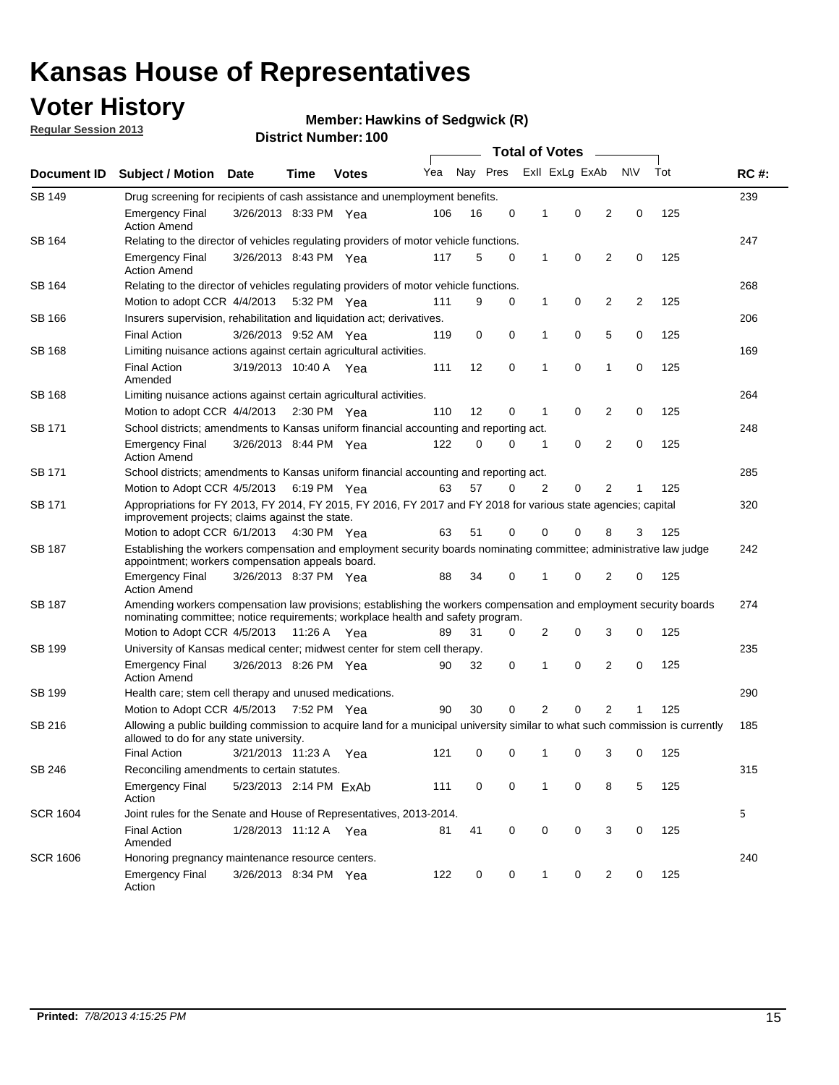## **Voter History**

**Regular Session 2013**

#### **Member: Hawkins of Sedgwick (R)**

| Document ID     |                                                                                                                                                                                                       |                                                                                      |             |              |     |          |   | <b>Total of Votes</b> |                |                |     |     |             |
|-----------------|-------------------------------------------------------------------------------------------------------------------------------------------------------------------------------------------------------|--------------------------------------------------------------------------------------|-------------|--------------|-----|----------|---|-----------------------|----------------|----------------|-----|-----|-------------|
|                 | <b>Subject / Motion</b>                                                                                                                                                                               | Date                                                                                 | Time        | <b>Votes</b> | Yea | Nay Pres |   |                       | Exll ExLg ExAb |                | N\V | Tot | <b>RC#:</b> |
| <b>SB 149</b>   | Drug screening for recipients of cash assistance and unemployment benefits.                                                                                                                           |                                                                                      |             |              |     |          |   |                       |                |                |     |     |             |
|                 | <b>Emergency Final</b><br><b>Action Amend</b>                                                                                                                                                         | 3/26/2013 8:33 PM Yea                                                                |             |              | 106 | 16       | 0 | 1                     | 0              | 2              | 0   | 125 |             |
| SB 164          | Relating to the director of vehicles regulating providers of motor vehicle functions.                                                                                                                 |                                                                                      |             |              |     |          |   |                       |                |                |     |     | 247         |
|                 | <b>Emergency Final</b><br><b>Action Amend</b>                                                                                                                                                         | 3/26/2013 8:43 PM Yea                                                                |             |              | 117 | 5        | 0 | 1                     | 0              | 2              | 0   | 125 |             |
| SB 164          | Relating to the director of vehicles regulating providers of motor vehicle functions.                                                                                                                 |                                                                                      |             |              |     |          |   |                       |                |                |     |     | 268         |
|                 | Motion to adopt CCR 4/4/2013 5:32 PM Yea                                                                                                                                                              |                                                                                      |             |              | 111 | 9        | 0 | $\mathbf{1}$          | 0              | 2              | 2   | 125 |             |
| SB 166          |                                                                                                                                                                                                       | Insurers supervision, rehabilitation and liquidation act; derivatives.               |             |              |     |          |   |                       |                |                |     |     | 206         |
|                 | <b>Final Action</b>                                                                                                                                                                                   | 3/26/2013 9:52 AM Yea                                                                |             |              | 119 | 0        | 0 | 1                     | 0              | 5              | 0   | 125 |             |
| <b>SB 168</b>   | Limiting nuisance actions against certain agricultural activities.                                                                                                                                    |                                                                                      |             |              |     |          |   |                       |                |                |     |     | 169         |
|                 | <b>Final Action</b><br>Amended                                                                                                                                                                        | 3/19/2013 10:40 A Yea                                                                |             |              | 111 | 12       | 0 | 1                     | $\mathbf 0$    | 1              | 0   | 125 |             |
| SB 168          | Limiting nuisance actions against certain agricultural activities.                                                                                                                                    |                                                                                      |             |              |     |          |   |                       |                |                |     |     | 264         |
|                 | Motion to adopt CCR 4/4/2013                                                                                                                                                                          |                                                                                      | 2:30 PM Yea |              | 110 | 12       | 0 | 1                     | 0              | 2              | 0   | 125 |             |
| SB 171          | School districts; amendments to Kansas uniform financial accounting and reporting act.                                                                                                                |                                                                                      |             |              |     |          |   |                       |                |                |     |     | 248         |
|                 | <b>Emergency Final</b><br><b>Action Amend</b>                                                                                                                                                         | 3/26/2013 8:44 PM Yea                                                                |             |              | 122 | 0        | 0 | 1                     | 0              | 2              | 0   | 125 |             |
| SB 171          | School districts; amendments to Kansas uniform financial accounting and reporting act.                                                                                                                |                                                                                      |             |              |     |          |   |                       |                |                |     |     | 285         |
|                 |                                                                                                                                                                                                       | Motion to Adopt CCR 4/5/2013 6:19 PM Yea<br>63<br>57<br>0<br>2<br>0<br>2<br>125<br>1 |             |              |     |          |   |                       |                |                |     |     |             |
| SB 171          | Appropriations for FY 2013, FY 2014, FY 2015, FY 2016, FY 2017 and FY 2018 for various state agencies; capital<br>improvement projects; claims against the state.                                     |                                                                                      |             |              |     |          |   |                       |                |                |     |     | 320         |
|                 | Motion to adopt CCR 6/1/2013 4:30 PM Yea                                                                                                                                                              |                                                                                      |             |              | 63  | 51       | 0 | 0                     | 0              | 8              | 3   | 125 |             |
| SB 187          | Establishing the workers compensation and employment security boards nominating committee; administrative law judge<br>appointment; workers compensation appeals board.                               |                                                                                      |             |              |     |          |   |                       |                |                |     | 242 |             |
|                 | <b>Emergency Final</b><br><b>Action Amend</b>                                                                                                                                                         | 3/26/2013 8:37 PM Yea                                                                |             |              | 88  | 34       | 0 | 1                     | 0              | 2              | 0   | 125 |             |
| SB 187          | Amending workers compensation law provisions; establishing the workers compensation and employment security boards<br>nominating committee; notice requirements; workplace health and safety program. |                                                                                      |             |              |     |          |   |                       |                |                |     |     | 274         |
|                 | Motion to Adopt CCR 4/5/2013 11:26 A Yea                                                                                                                                                              |                                                                                      |             |              | 89  | 31       | 0 | 2                     | 0              | 3              | 0   | 125 |             |
| SB 199          | University of Kansas medical center; midwest center for stem cell therapy.                                                                                                                            |                                                                                      |             |              |     |          |   |                       |                |                |     |     | 235         |
|                 | <b>Emergency Final</b><br><b>Action Amend</b>                                                                                                                                                         | 3/26/2013 8:26 PM Yea                                                                |             |              | 90  | 32       | 0 | 1                     | 0              | 2              | 0   | 125 |             |
| SB 199          | Health care; stem cell therapy and unused medications.                                                                                                                                                |                                                                                      |             |              |     |          |   |                       |                |                |     |     | 290         |
|                 | Motion to Adopt CCR 4/5/2013 7:52 PM Yea                                                                                                                                                              |                                                                                      |             |              | 90  | 30       | 0 | 2                     | 0              | $\overline{2}$ | 1   | 125 |             |
| SB 216          | Allowing a public building commission to acquire land for a municipal university similar to what such commission is currently<br>allowed to do for any state university.                              |                                                                                      |             |              |     |          |   |                       |                |                |     |     | 185         |
|                 | <b>Final Action</b>                                                                                                                                                                                   | 3/21/2013 11:23 A Yea                                                                |             |              | 121 | 0        | 0 | 1                     | 0              | 3              | 0   | 125 |             |
| SB 246          | Reconciling amendments to certain statutes.                                                                                                                                                           |                                                                                      |             |              |     |          |   |                       |                |                |     |     | 315         |
|                 | <b>Emergency Final</b><br>Action                                                                                                                                                                      | 5/23/2013 2:14 PM ExAb                                                               |             |              | 111 | 0        | 0 | 1                     | 0              | 8              | 5   | 125 |             |
| <b>SCR 1604</b> | Joint rules for the Senate and House of Representatives, 2013-2014.                                                                                                                                   |                                                                                      |             |              |     |          |   |                       |                |                |     |     | 5           |
|                 | <b>Final Action</b><br>Amended                                                                                                                                                                        | 1/28/2013 11:12 A Yea                                                                |             |              | 81  | 41       | 0 | 0                     | 0              | 3              | 0   | 125 |             |
| <b>SCR 1606</b> | Honoring pregnancy maintenance resource centers.                                                                                                                                                      |                                                                                      |             |              |     |          |   |                       |                |                |     |     | 240         |
|                 | <b>Emergency Final</b><br>Action                                                                                                                                                                      | 3/26/2013 8:34 PM Yea                                                                |             |              | 122 | 0        | 0 | 1                     | 0              | 2              | 0   | 125 |             |